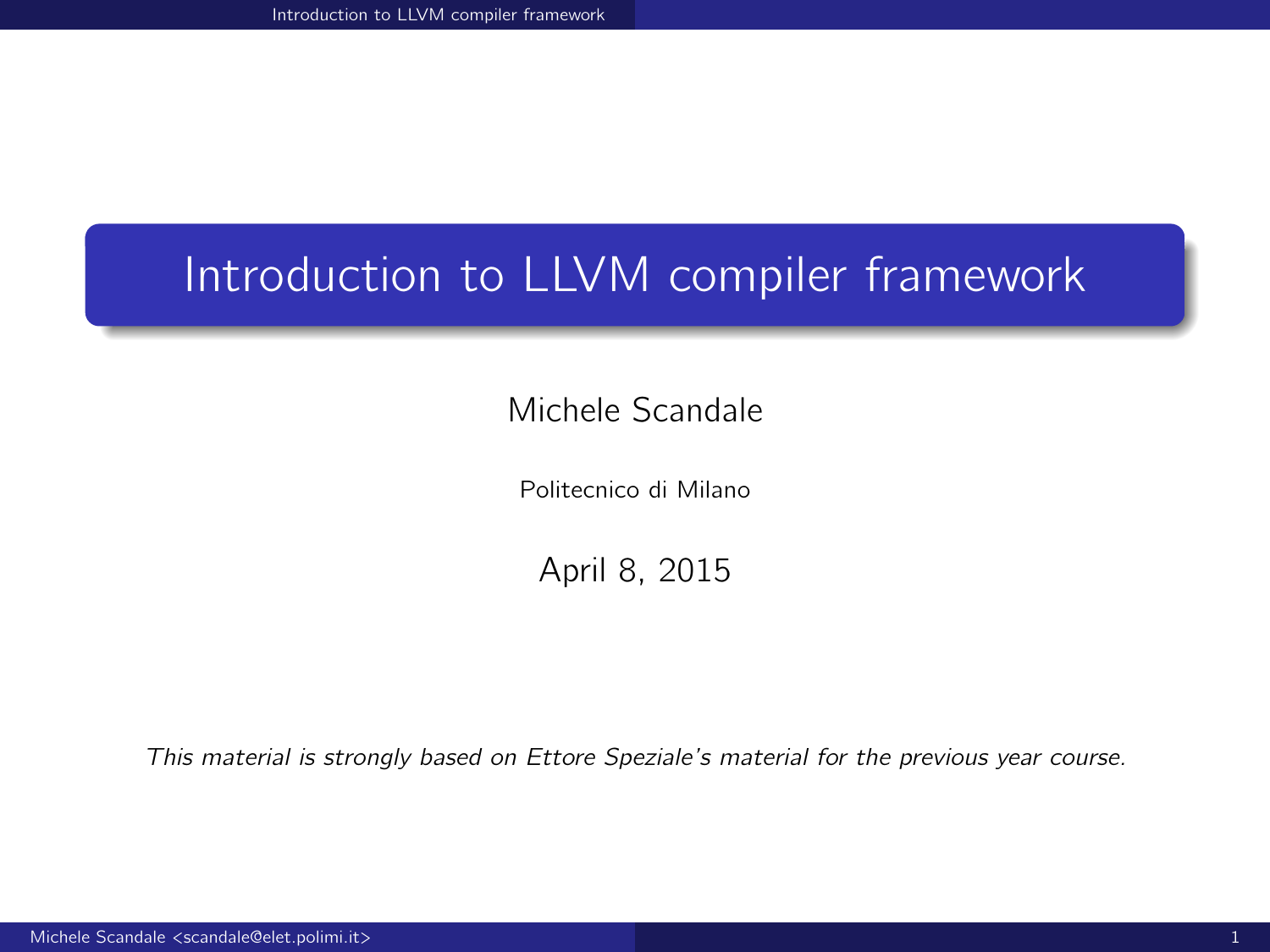<span id="page-0-0"></span>Michele Scandale

Politecnico di Milano

April 8, 2015

This material is strongly based on Ettore Speziale's material for the previous year course.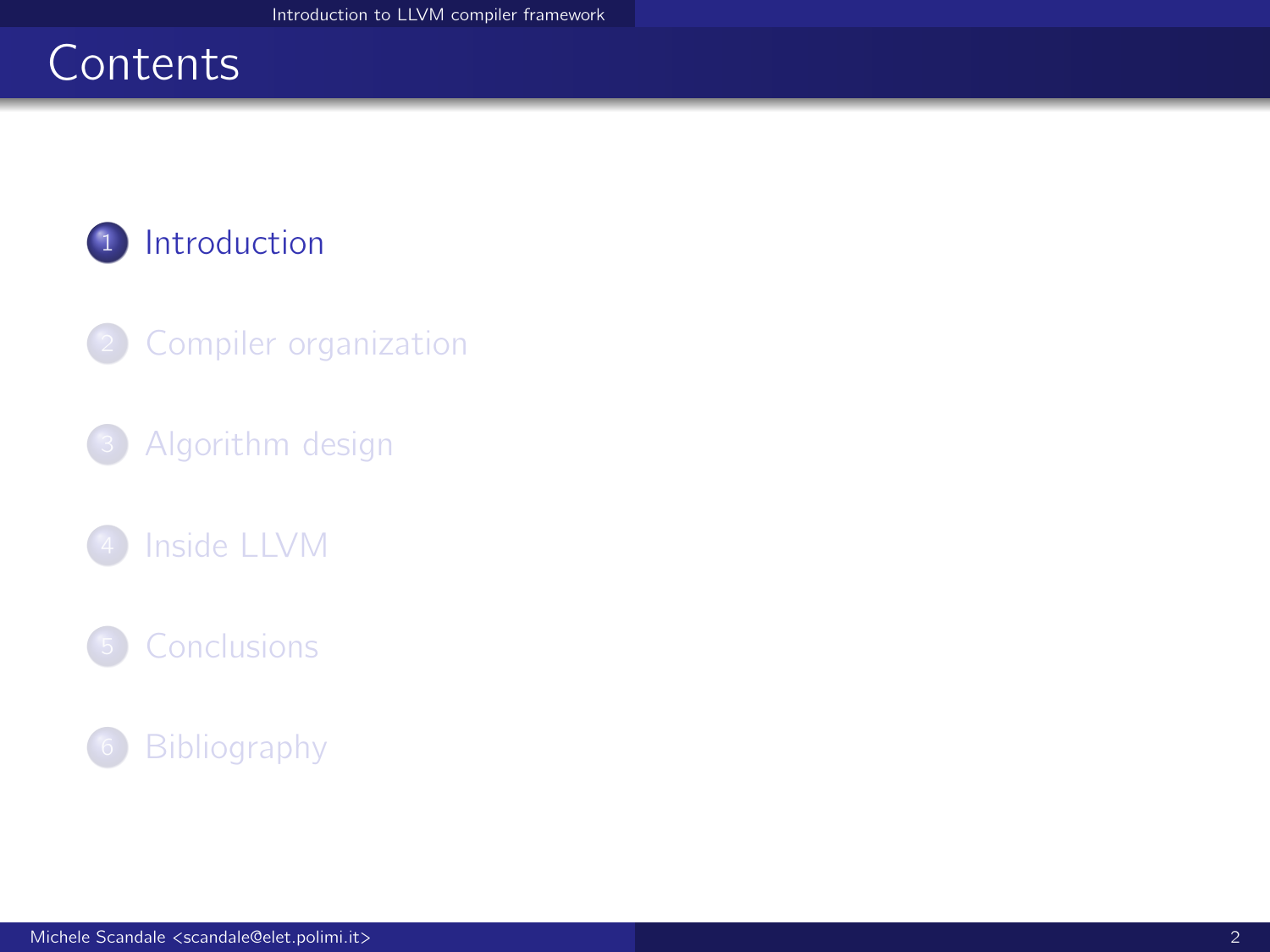# <span id="page-1-0"></span>**Contents**

## <sup>1</sup> [Introduction](#page-1-0)

- 2 [Compiler organization](#page-4-0)
- <sup>3</sup> [Algorithm design](#page-9-0)
- [Inside LLVM](#page-17-0)
-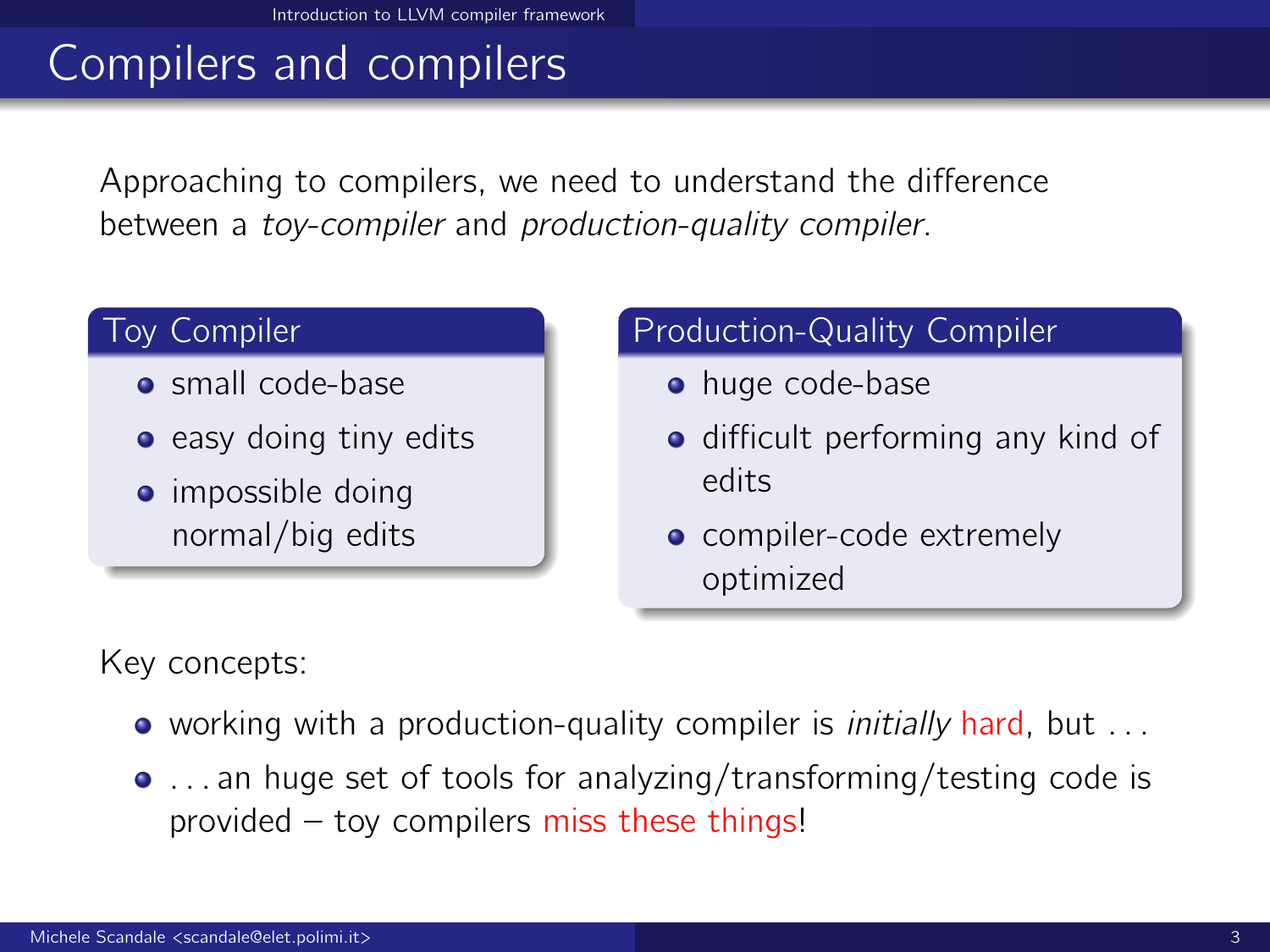# Compilers and compilers

Approaching to compilers, we need to understand the difference between a toy-compiler and production-quality compiler.

#### Toy Compiler

- small code-base
- $\bullet$  easy doing tiny edits
- impossible doing normal/big edits

### Production-Quality Compiler

- huge code-base
- **o** difficult performing any kind of edits
- compiler-code extremely optimized

Key concepts:

- working with a production-quality compiler is *initially* hard, but ...
- ... an huge set of tools for analyzing/transforming/testing code is provided – toy compilers miss these things!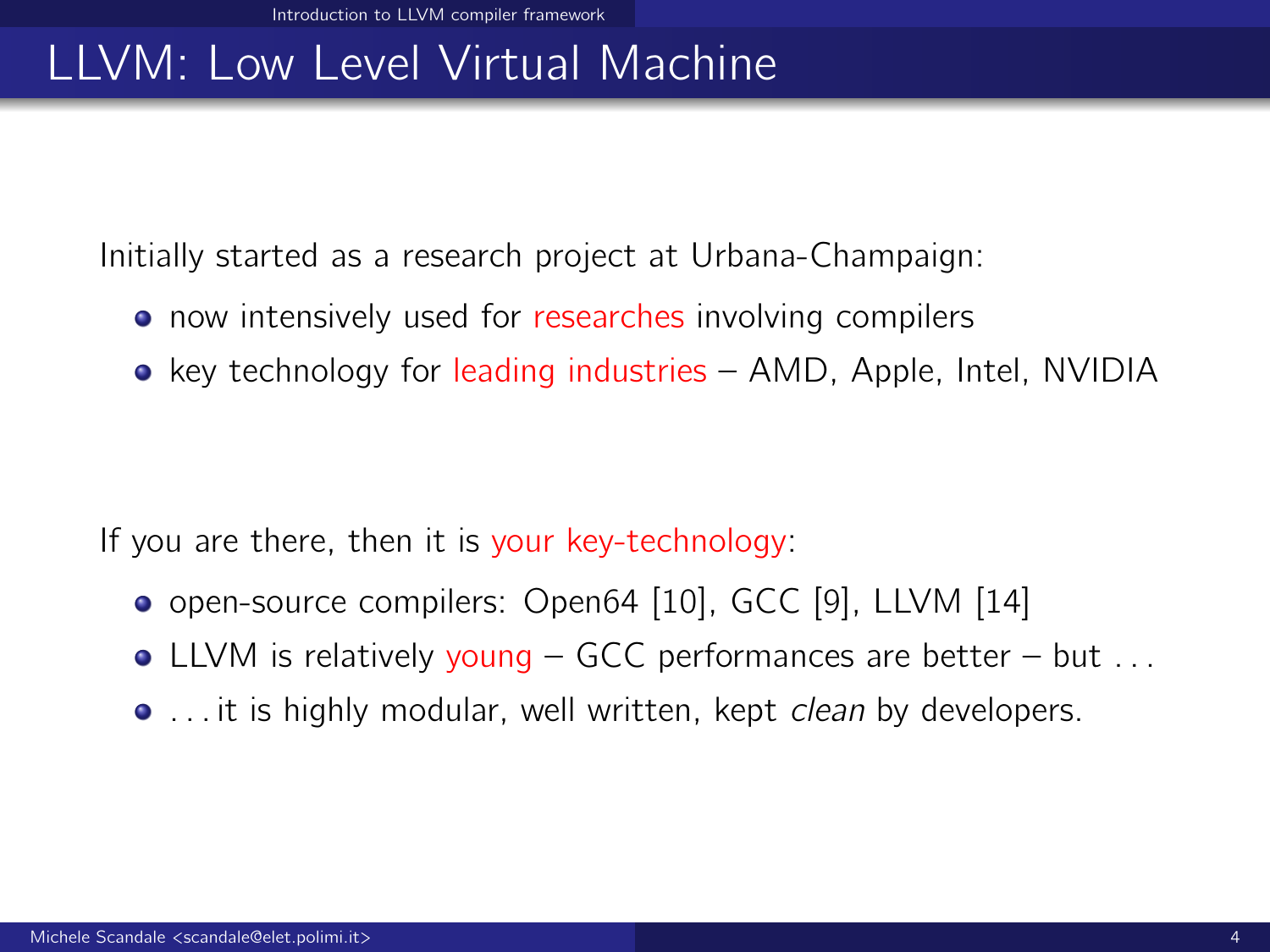# LLVM: Low Level Virtual Machine

Initially started as a research project at Urbana-Champaign:

- now intensively used for researches involving compilers
- key technology for leading industries AMD, Apple, Intel, NVIDIA

If you are there, then it is your key-technology:

- open-source compilers: Open64 [\[10\]](#page-41-0), GCC [\[9\]](#page-41-1), LLVM [\[14\]](#page-42-1)
- LLVM is relatively young GCC performances are better but  $\dots$
- ... it is highly modular, well written, kept *clean* by developers.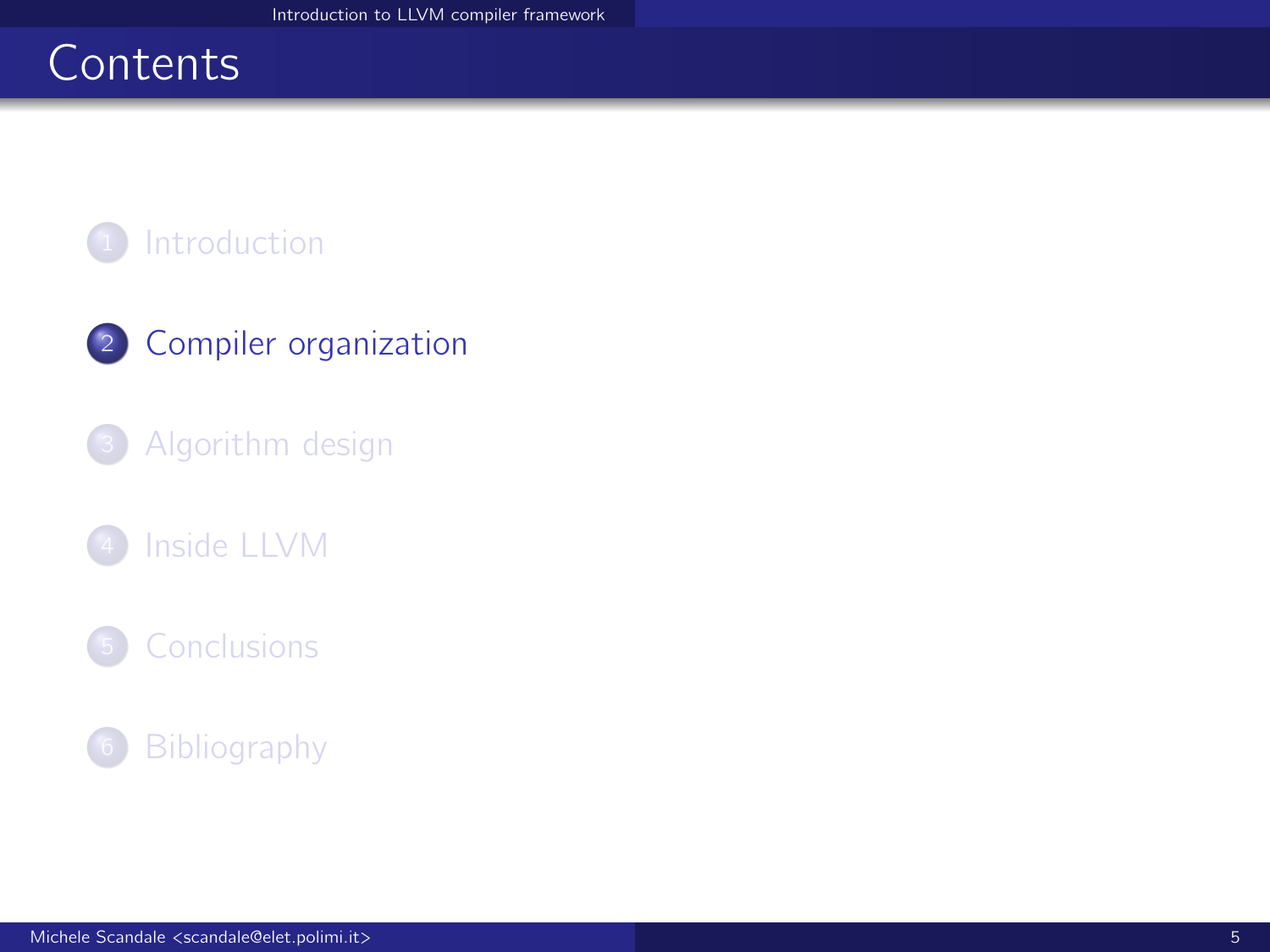# <span id="page-4-0"></span>**Contents**



## 2 [Compiler organization](#page-4-0)

### <sup>3</sup> [Algorithm design](#page-9-0)

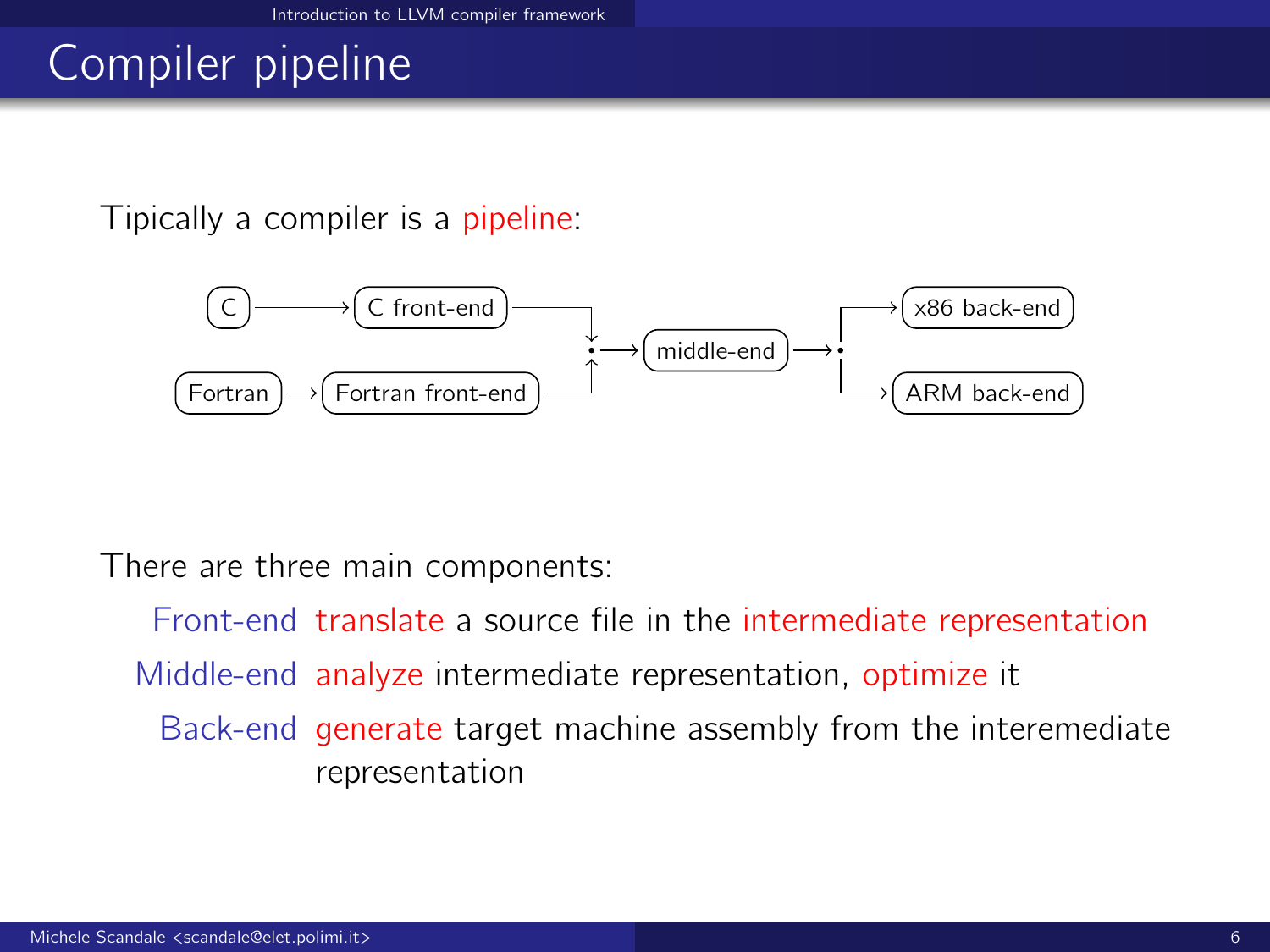# Compiler pipeline

Tipically a compiler is a pipeline:



There are three main components:

Front-end translate a source file in the intermediate representation Middle-end analyze intermediate representation, optimize it Back-end generate target machine assembly from the interemediate representation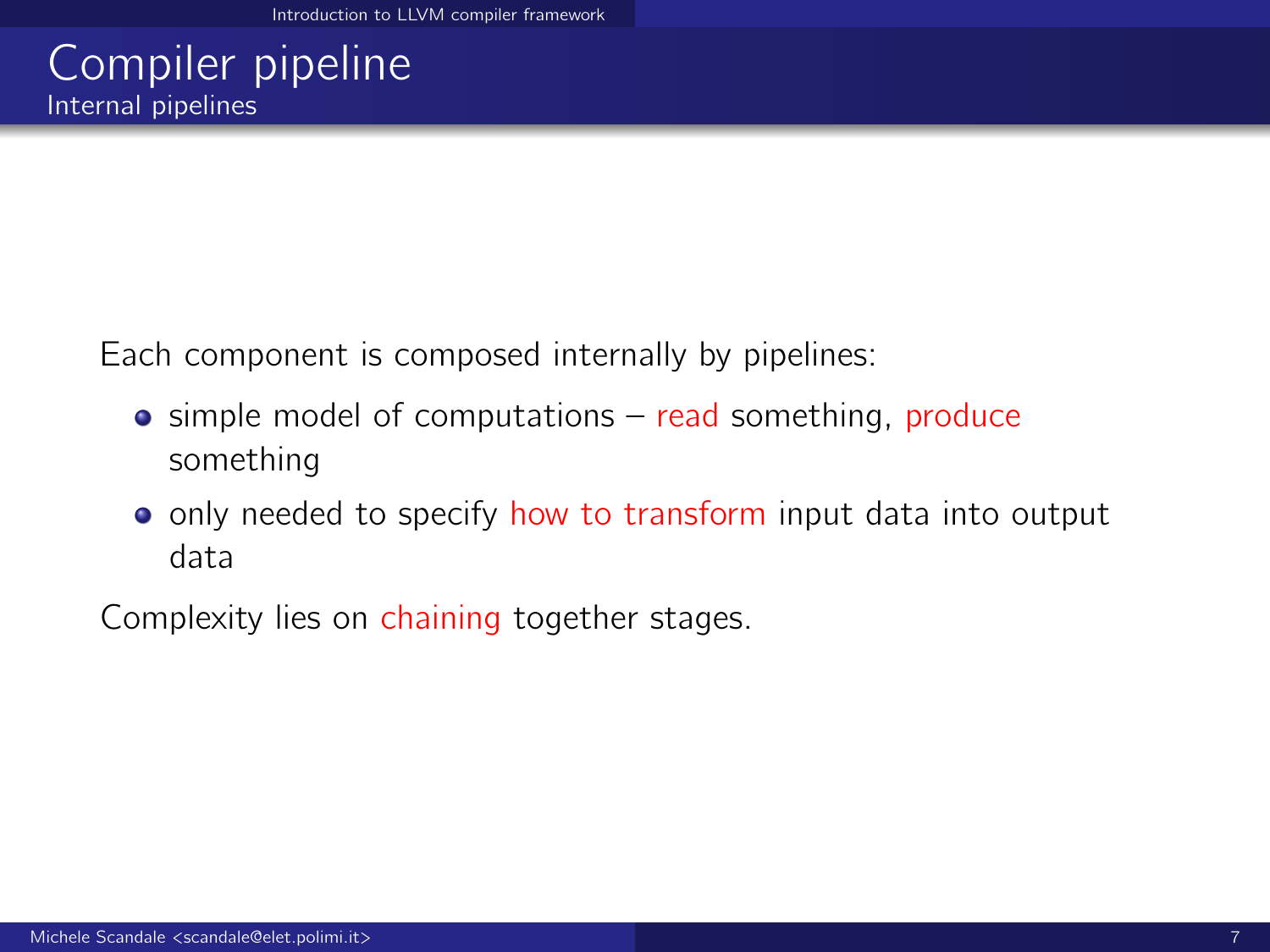## Compiler pipeline Internal pipelines

Each component is composed internally by pipelines:

- $\bullet$  simple model of computations read something, produce something
- o only needed to specify how to transform input data into output data

Complexity lies on chaining together stages.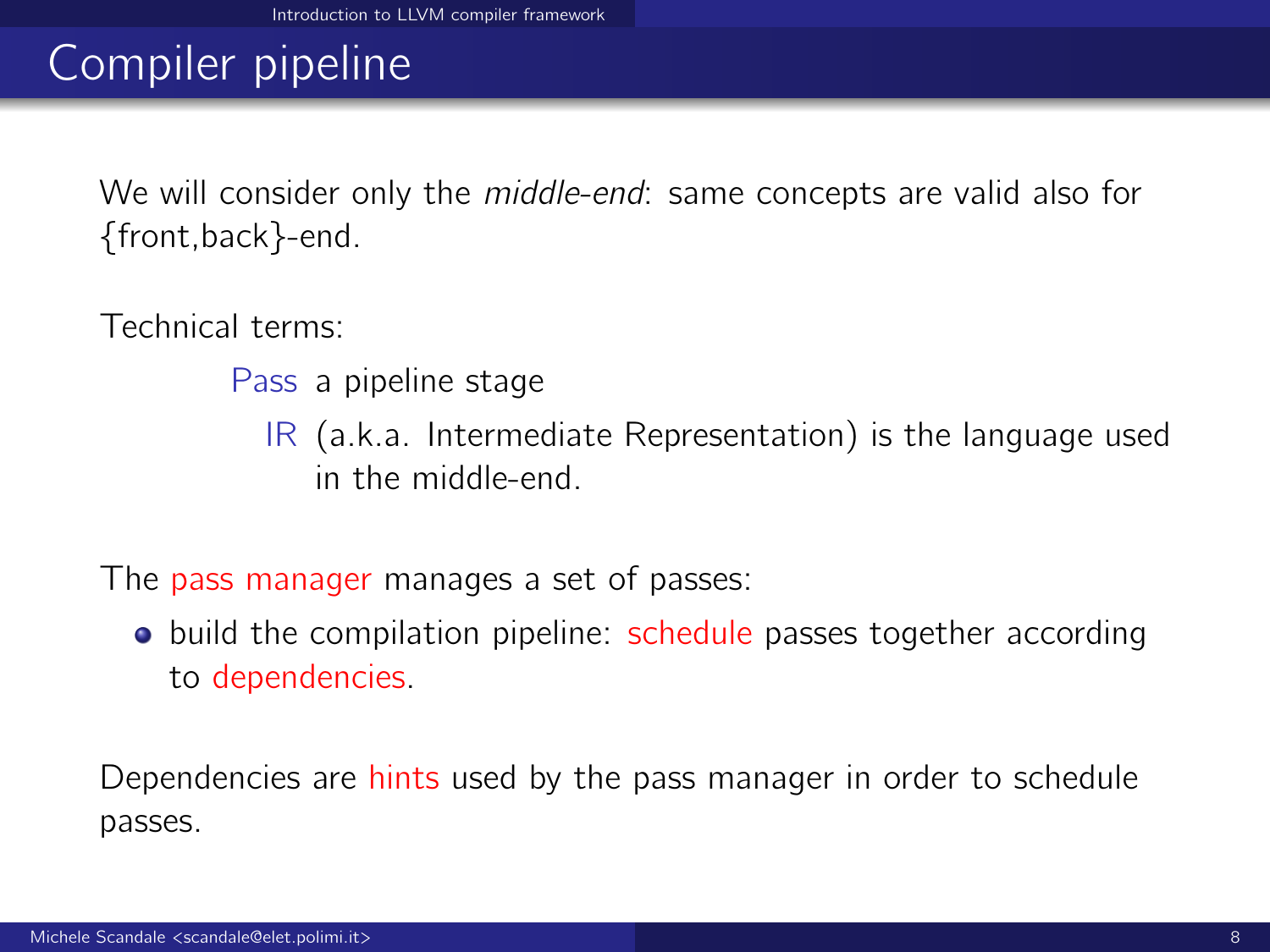# Compiler pipeline

We will consider only the *middle-end*: same concepts are valid also for {front,back}-end.

Technical terms:

Pass a pipeline stage

IR (a.k.a. Intermediate Representation) is the language used in the middle-end.

The pass manager manages a set of passes:

• build the compilation pipeline: schedule passes together according to dependencies.

Dependencies are hints used by the pass manager in order to schedule passes.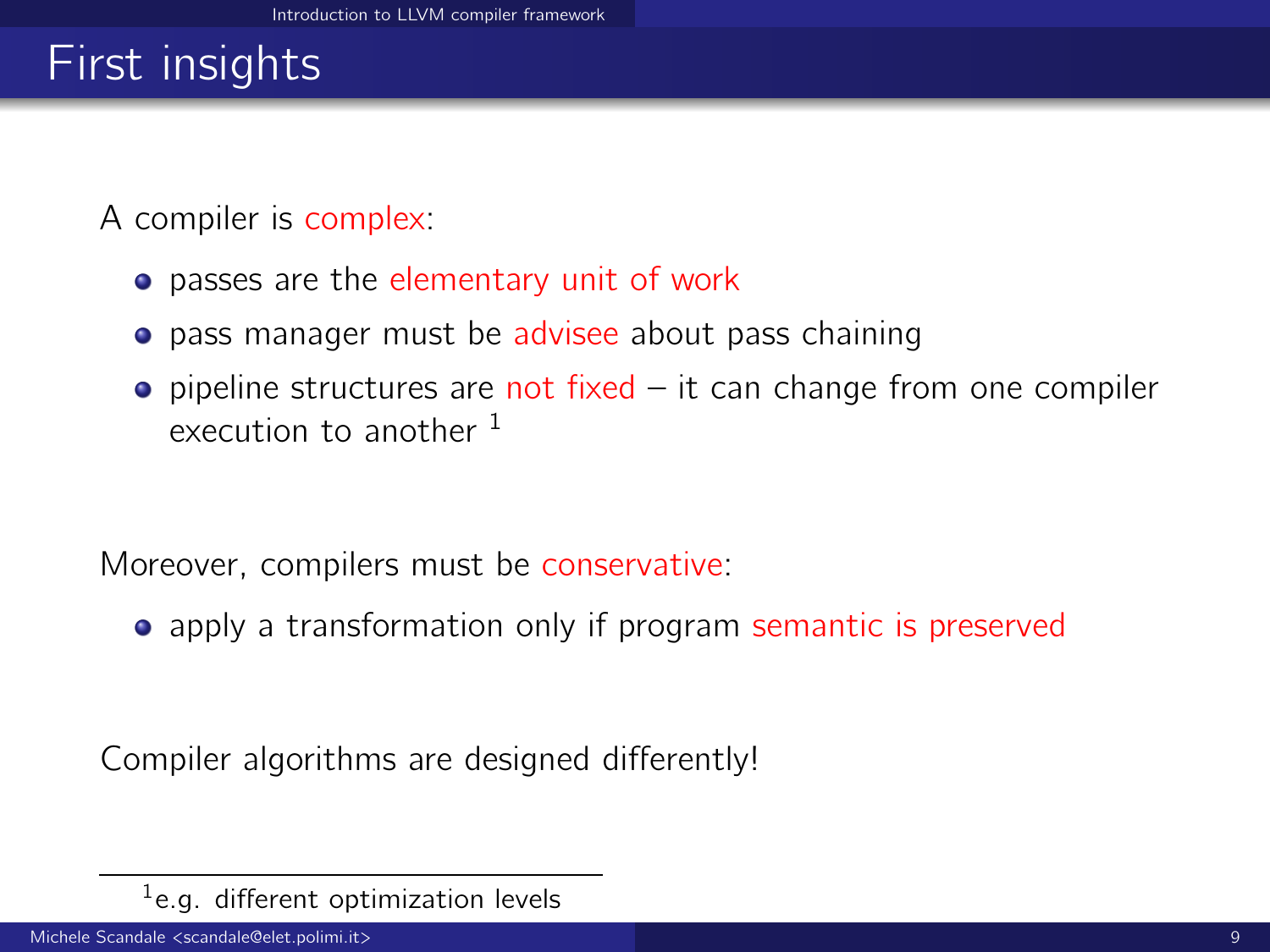# First insights

A compiler is complex:

- **•** passes are the elementary unit of work
- **•** pass manager must be advisee about pass chaining
- $\bullet$  pipeline structures are not fixed it can change from one compiler execution to another  $<sup>1</sup>$ </sup>

Moreover, compilers must be conservative:

• apply a transformation only if program semantic is preserved

Compiler algorithms are designed differently!

 $1$ e.g. different optimization levels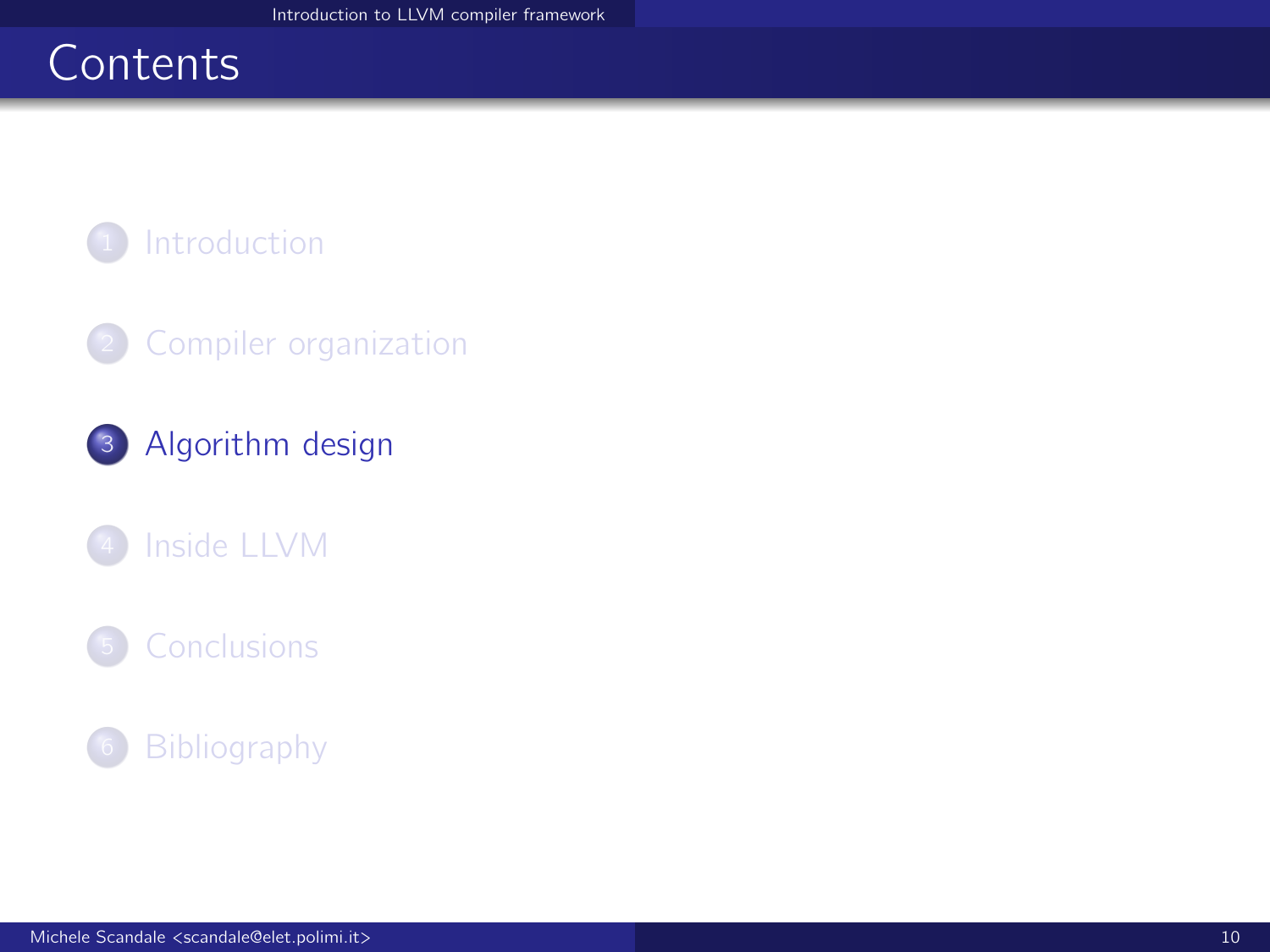# <span id="page-9-0"></span>**Contents**



### <sup>2</sup> [Compiler organization](#page-4-0)

<sup>3</sup> [Algorithm design](#page-9-0)

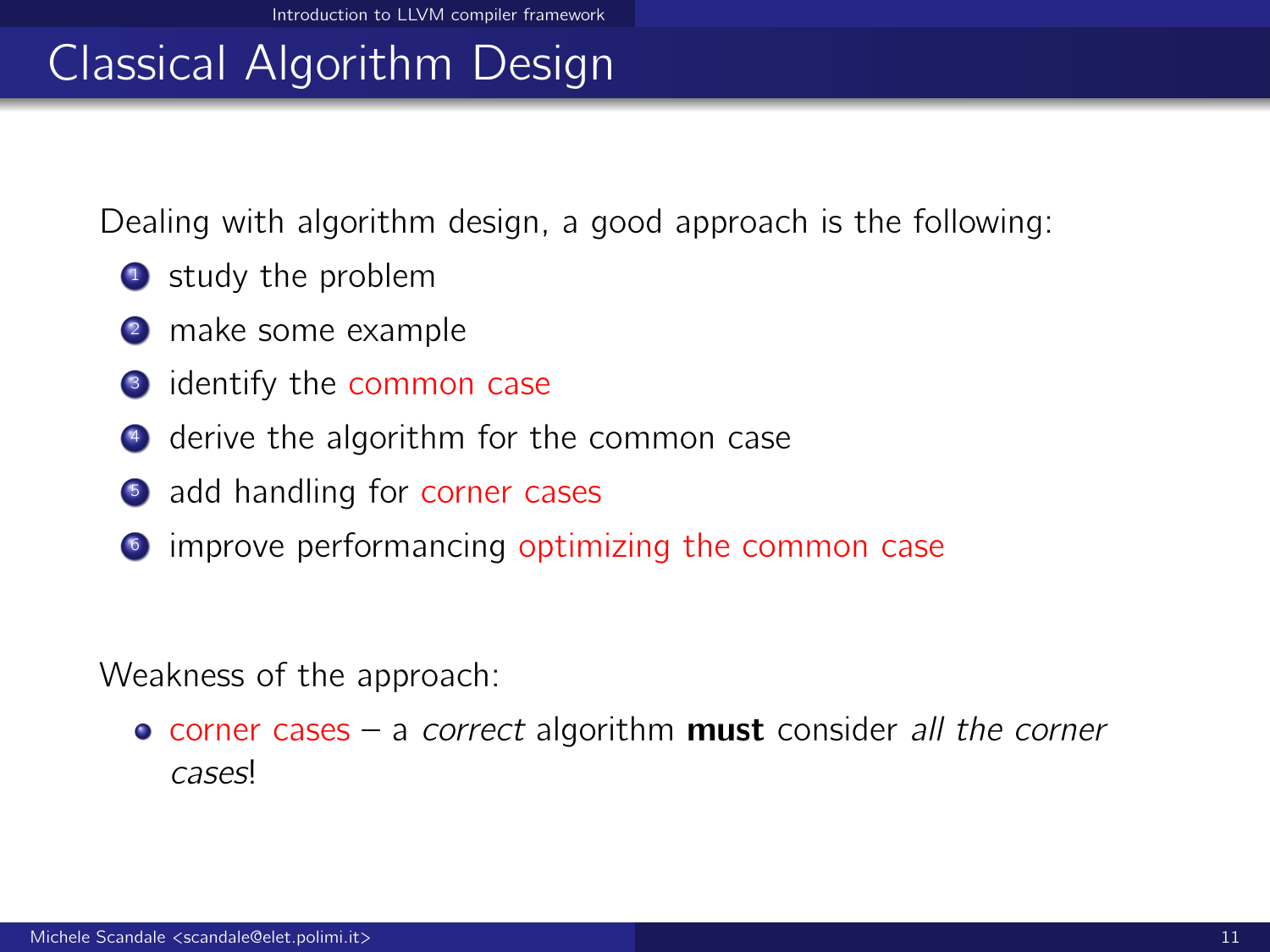# Classical Algorithm Design

Dealing with algorithm design, a good approach is the following:

- **1** study the problem
- 2 make some example
- **3** identify the common case
- <sup>4</sup> derive the algorithm for the common case
- **5** add handling for corner cases
- **<sup>6</sup>** improve performancing optimizing the common case

Weakness of the approach:

 $\bullet$  corner cases – a correct algorithm must consider all the corner cases!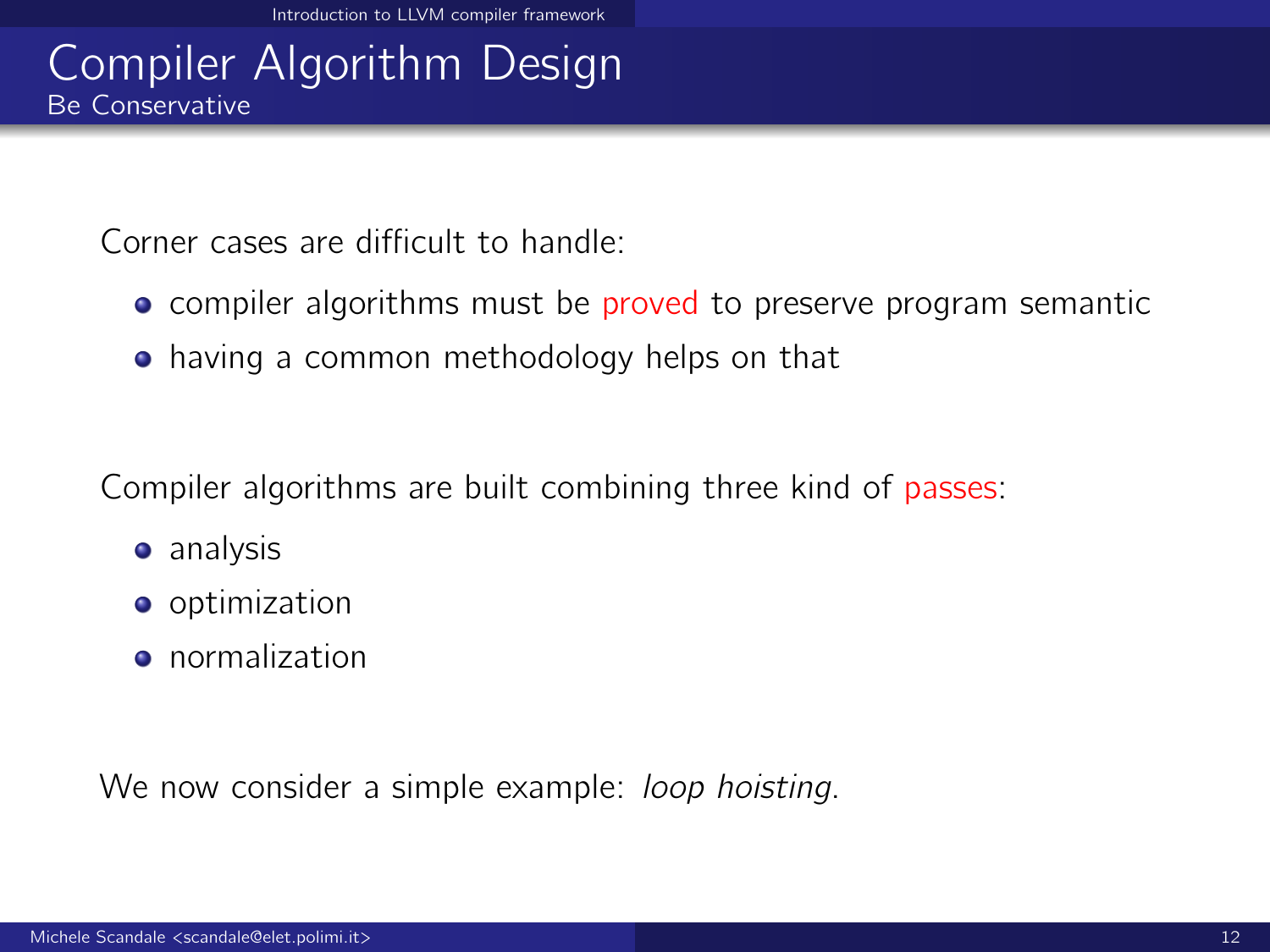## Compiler Algorithm Design Be Conservative

Corner cases are difficult to handle:

- **•** compiler algorithms must be proved to preserve program semantic
- having a common methodology helps on that

Compiler algorithms are built combining three kind of passes:

- **•** analysis
- **o** optimization
- **•** normalization

We now consider a simple example: *loop hoisting*.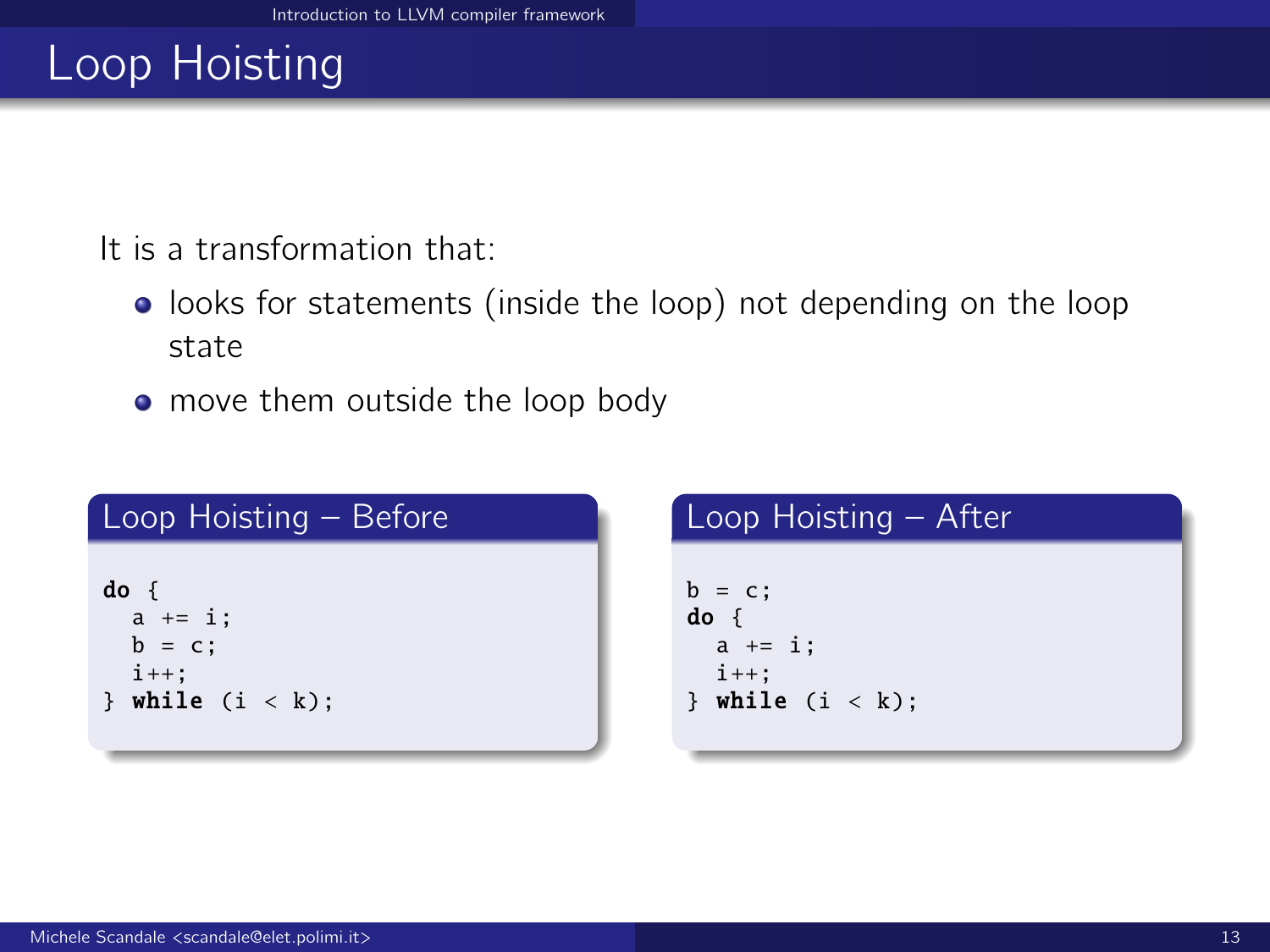# Loop Hoisting

It is a transformation that:

- **.** looks for statements (inside the loop) not depending on the loop state
- move them outside the loop body

| Loop Hoisting - Before | Loop Hoisting - After |
|------------------------|-----------------------|
| $do \{$                | $b = c$ ;             |
| $a += i;$              | $do \{$               |
| $b = c$ ;              | $a += i$ ;            |
| $i++$ :                | $i++$ :               |
| while $(i < k)$ ;      | } while $(i < k)$ ;   |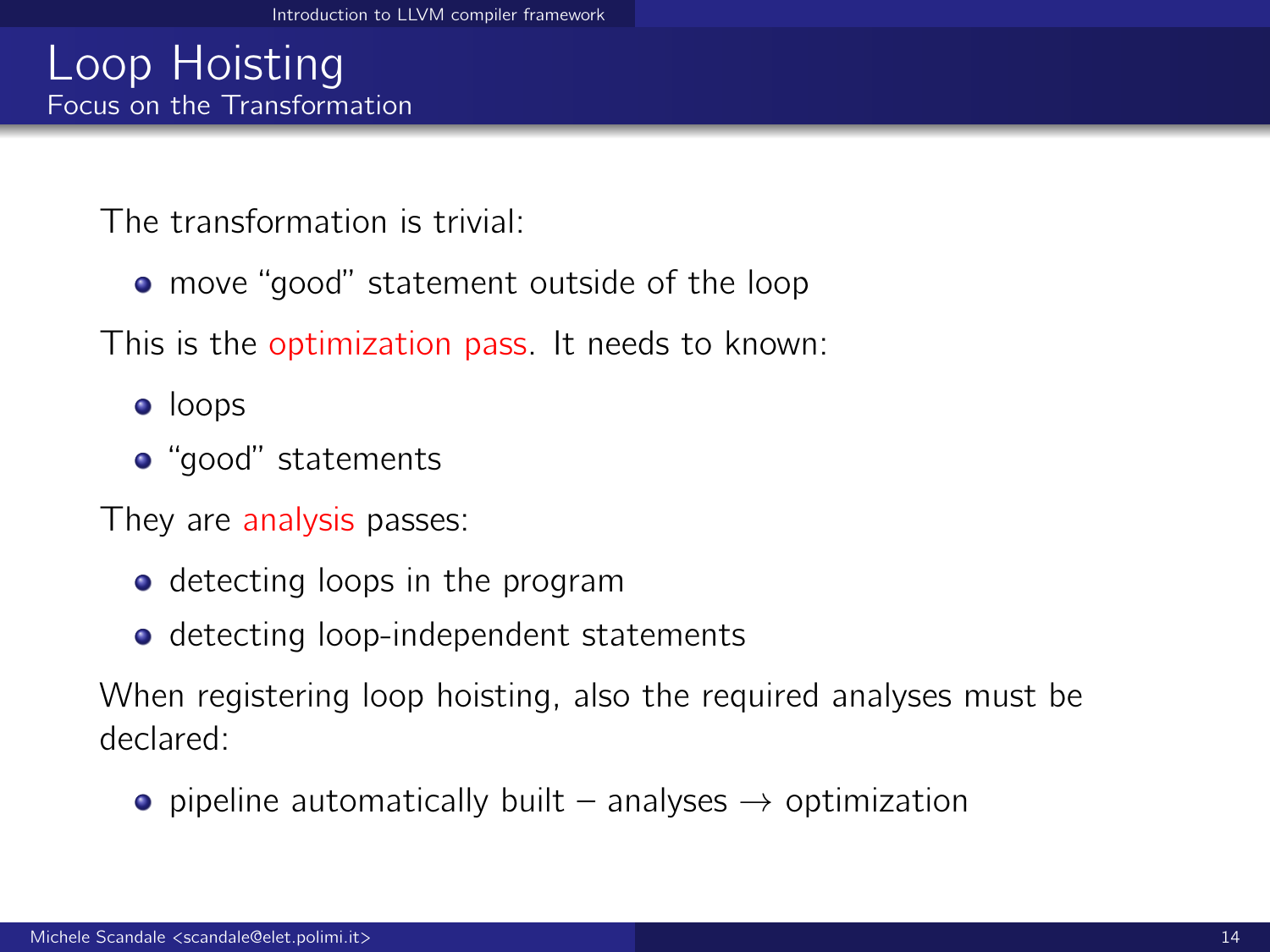### Loop Hoisting Focus on the Transformation

The transformation is trivial:

• move "good" statement outside of the loop

This is the optimization pass. It needs to known:

- loops
- "good" statements

They are analysis passes:

- detecting loops in the program
- **o** detecting loop-independent statements

When registering loop hoisting, also the required analyses must be declared:

• pipeline automatically built – analyses  $\rightarrow$  optimization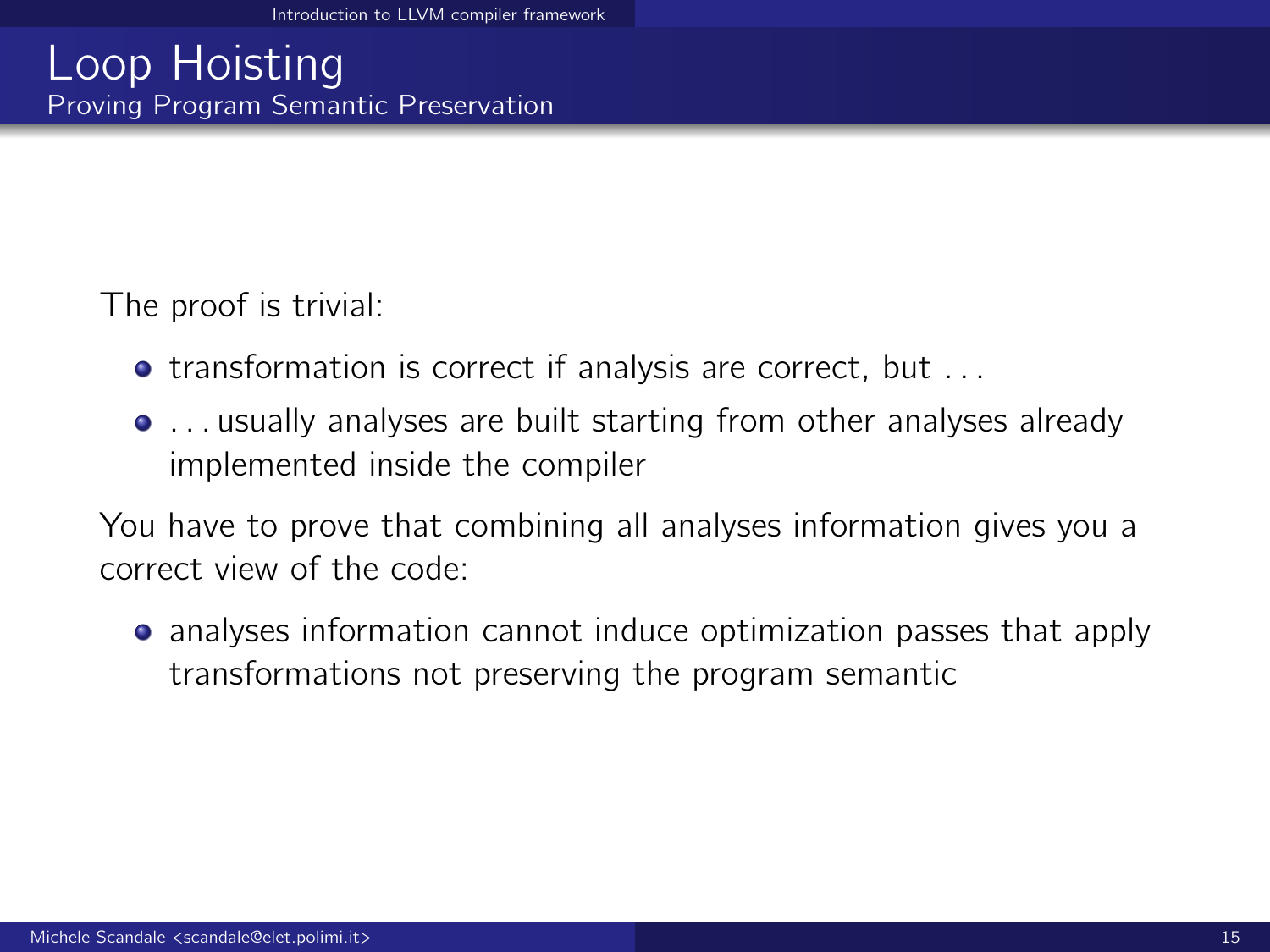## Loop Hoisting Proving Program Semantic Preservation

The proof is trivial:

- **transformation is correct if analysis are correct, but ...**
- . . . usually analyses are built starting from other analyses already implemented inside the compiler

You have to prove that combining all analyses information gives you a correct view of the code:

**•** analyses information cannot induce optimization passes that apply transformations not preserving the program semantic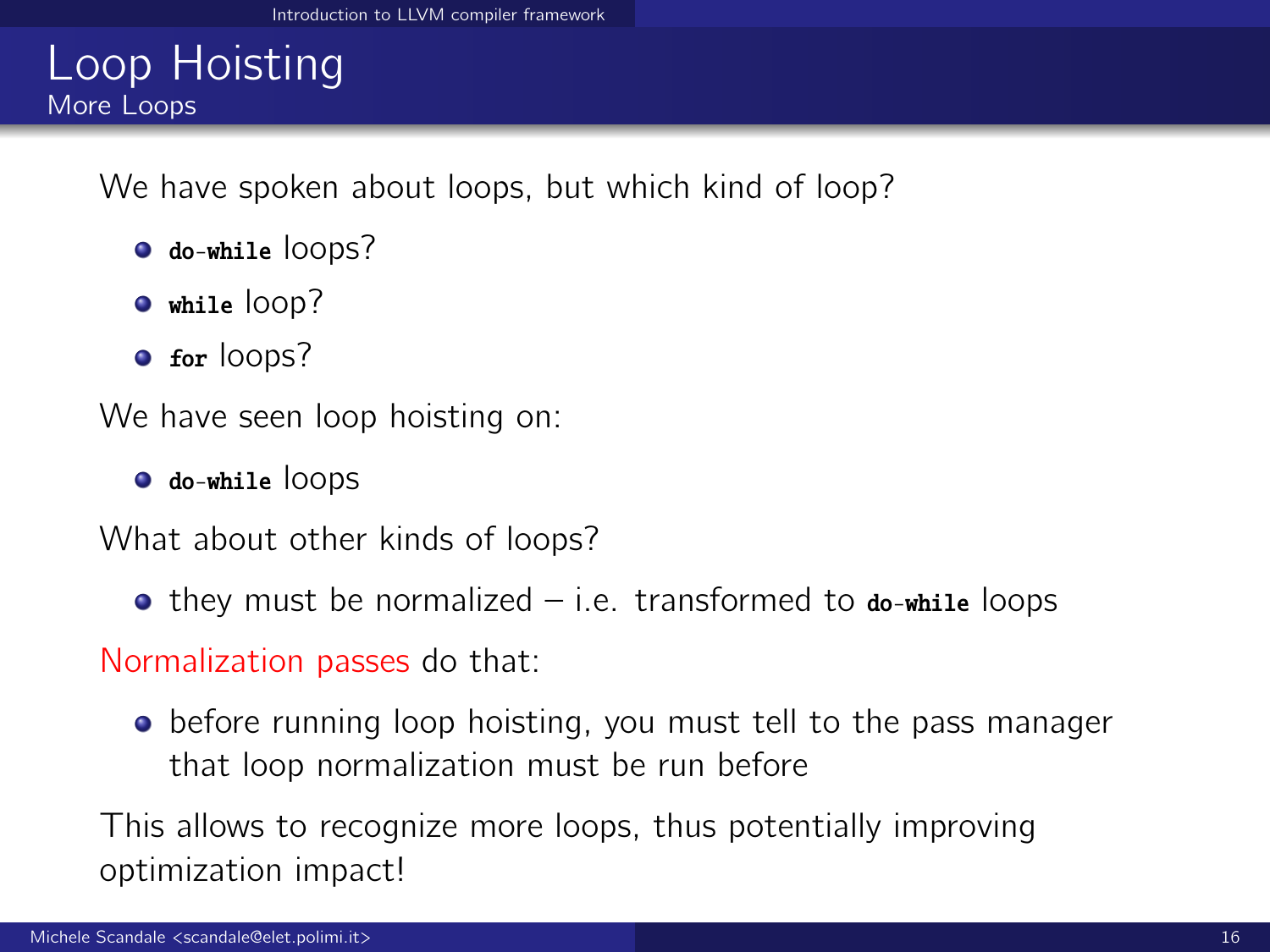## Loop Hoisting More Loops

We have spoken about loops, but which kind of loop?

- $\bullet$  do-while lOODS?
- $\bullet$  while loop?
- **o** for loops?

We have seen loop hoisting on:

do-while loops

What about other kinds of loops?

 $\bullet$  they must be normalized – i.e. transformed to  $\phi$ -while loops

Normalization passes do that:

• before running loop hoisting, you must tell to the pass manager that loop normalization must be run before

This allows to recognize more loops, thus potentially improving optimization impact!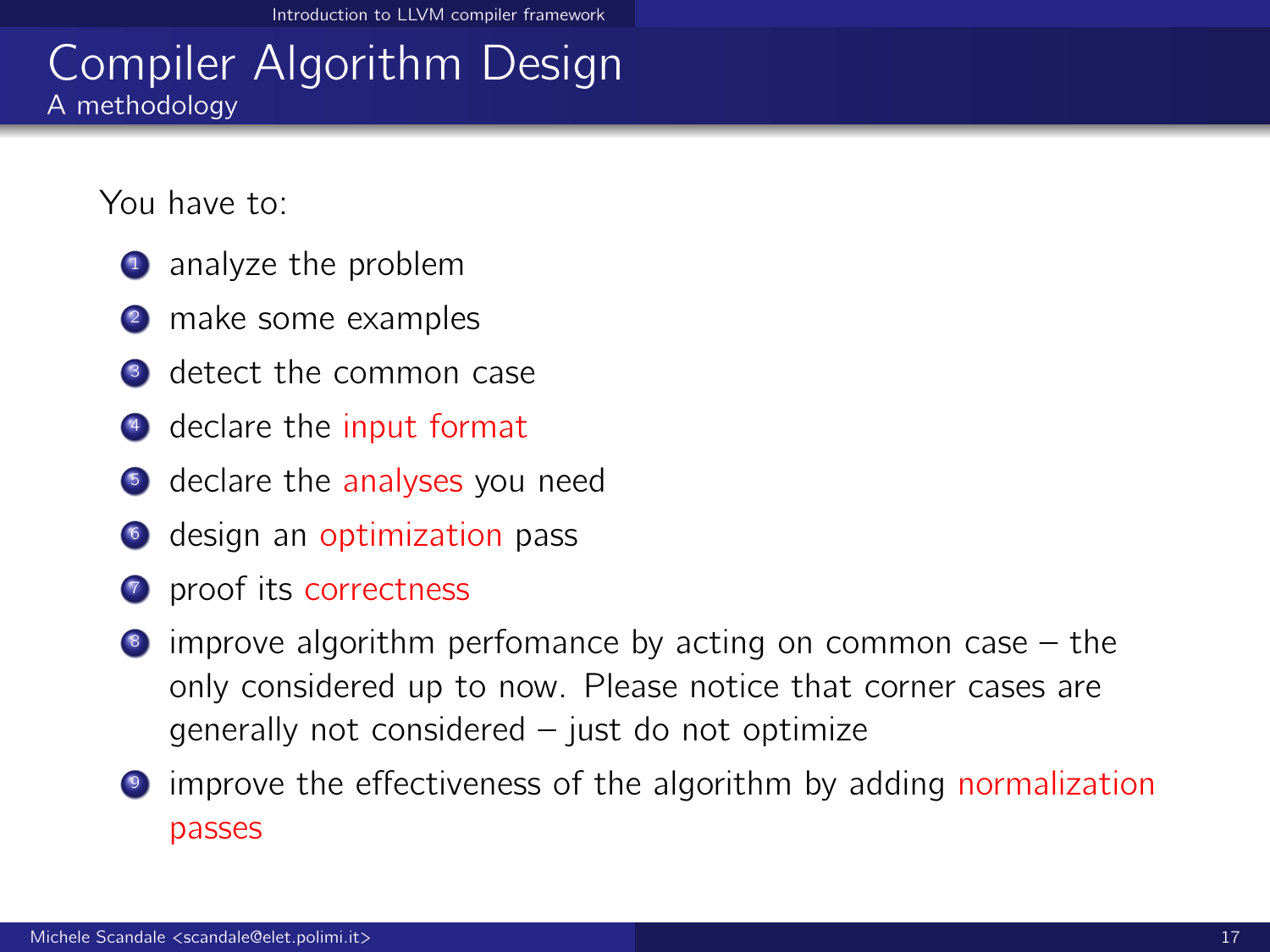### Compiler Algorithm Design A methodology

You have to:

- **1** analyze the problem
- **2** make some examples
- **3** detect the common case
- <sup>4</sup> declare the input format
- **5** declare the analyses you need
- **6** design an optimization pass
- **1** proof its correctness
- $\bullet$  improve algorithm perfomance by acting on common case  $-$  the only considered up to now. Please notice that corner cases are generally not considered – just do not optimize
- <sup>9</sup> improve the effectiveness of the algorithm by adding normalization passes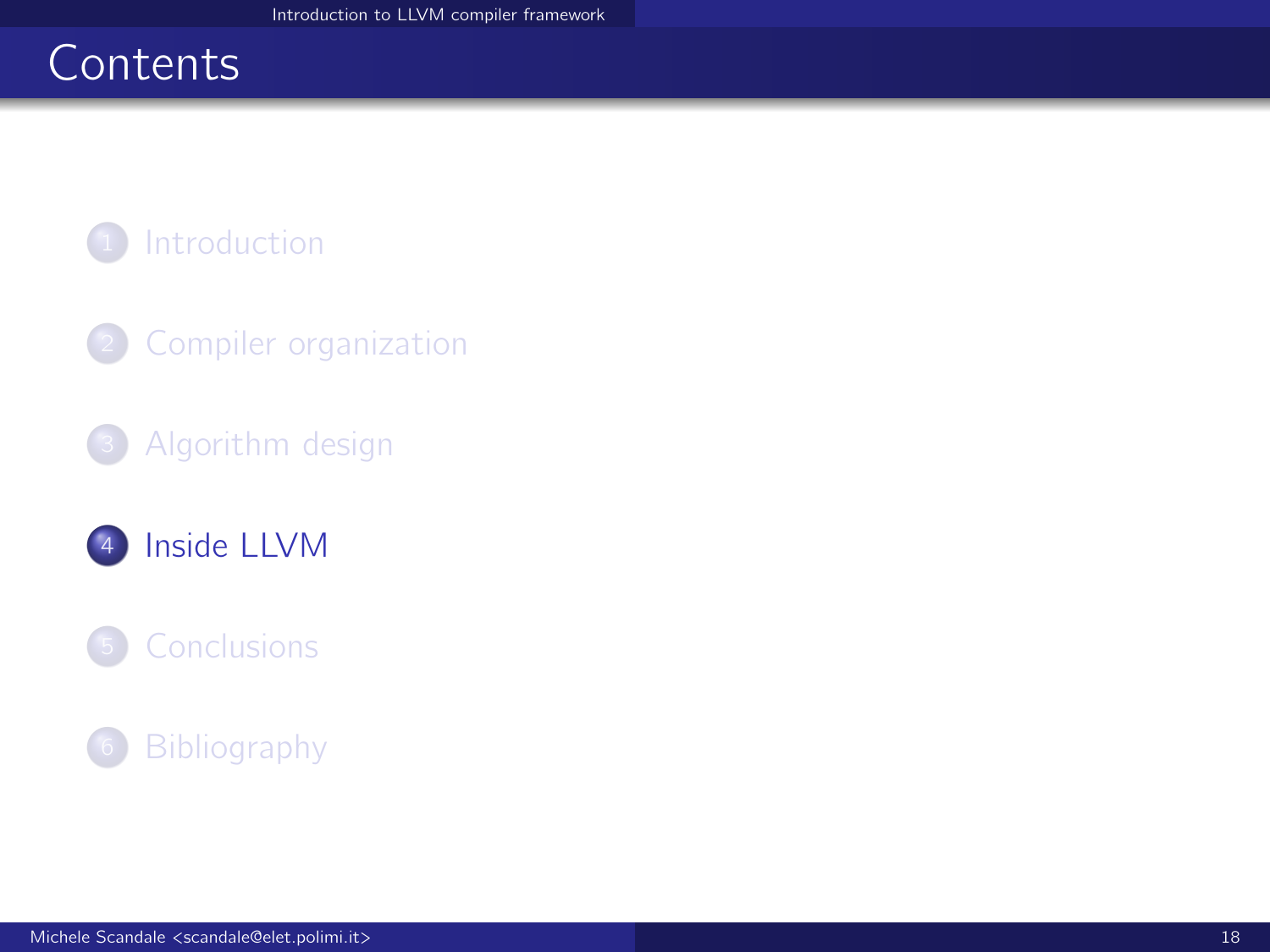# <span id="page-17-0"></span>**Contents**



- <sup>2</sup> [Compiler organization](#page-4-0)
- <sup>3</sup> [Algorithm design](#page-9-0)

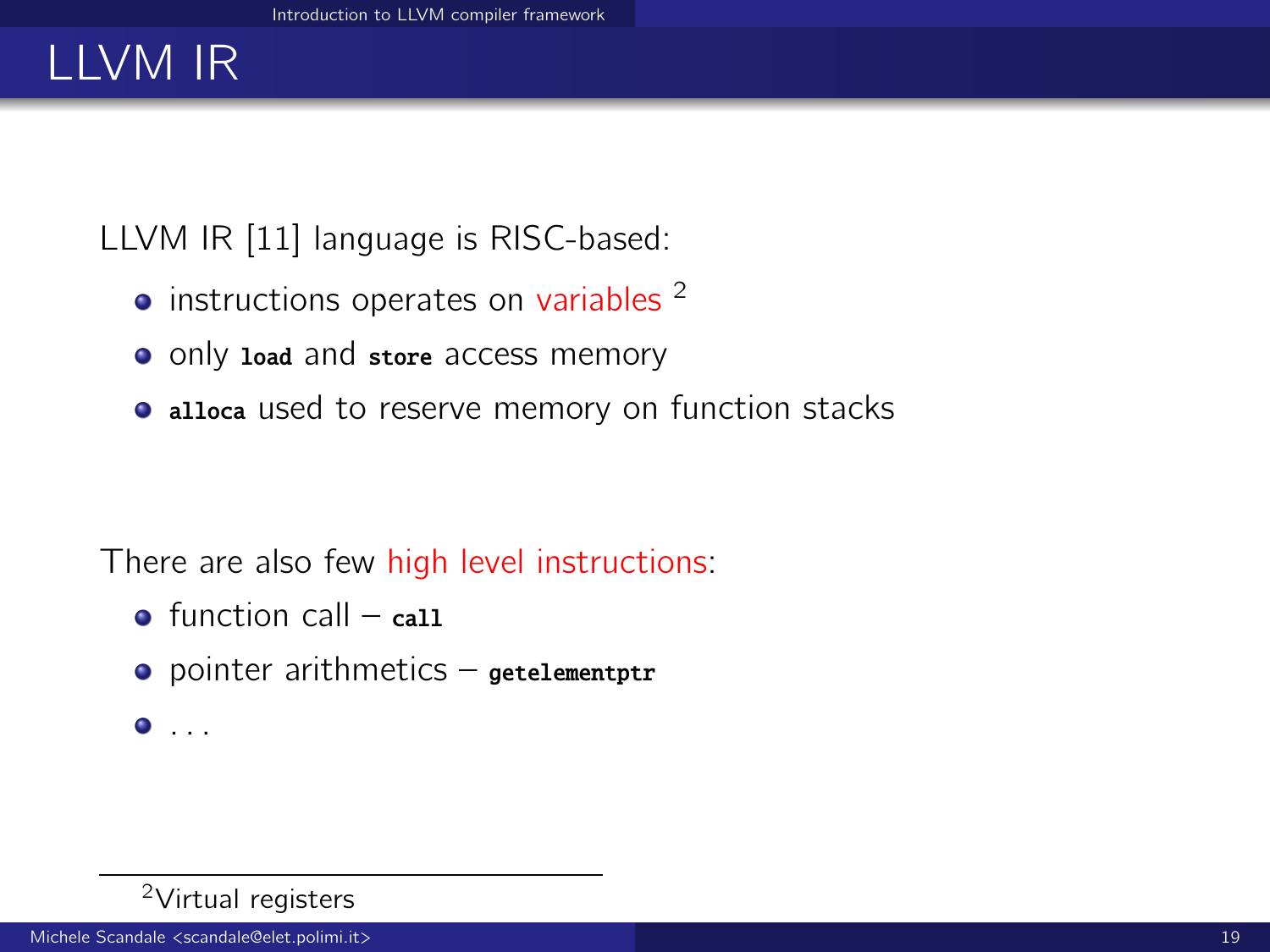# LLVM IR

LLVM IR [\[11\]](#page-41-2) language is RISC-based:

- $\bullet$  instructions operates on variables  $2$
- only load and store access memory
- alloca used to reserve memory on function stacks

There are also few high level instructions:

- $\bullet$  function call call
- $\bullet$  pointer arithmetics getelementptr
- $\bullet$  . . .

#### <sup>2</sup>Virtual registers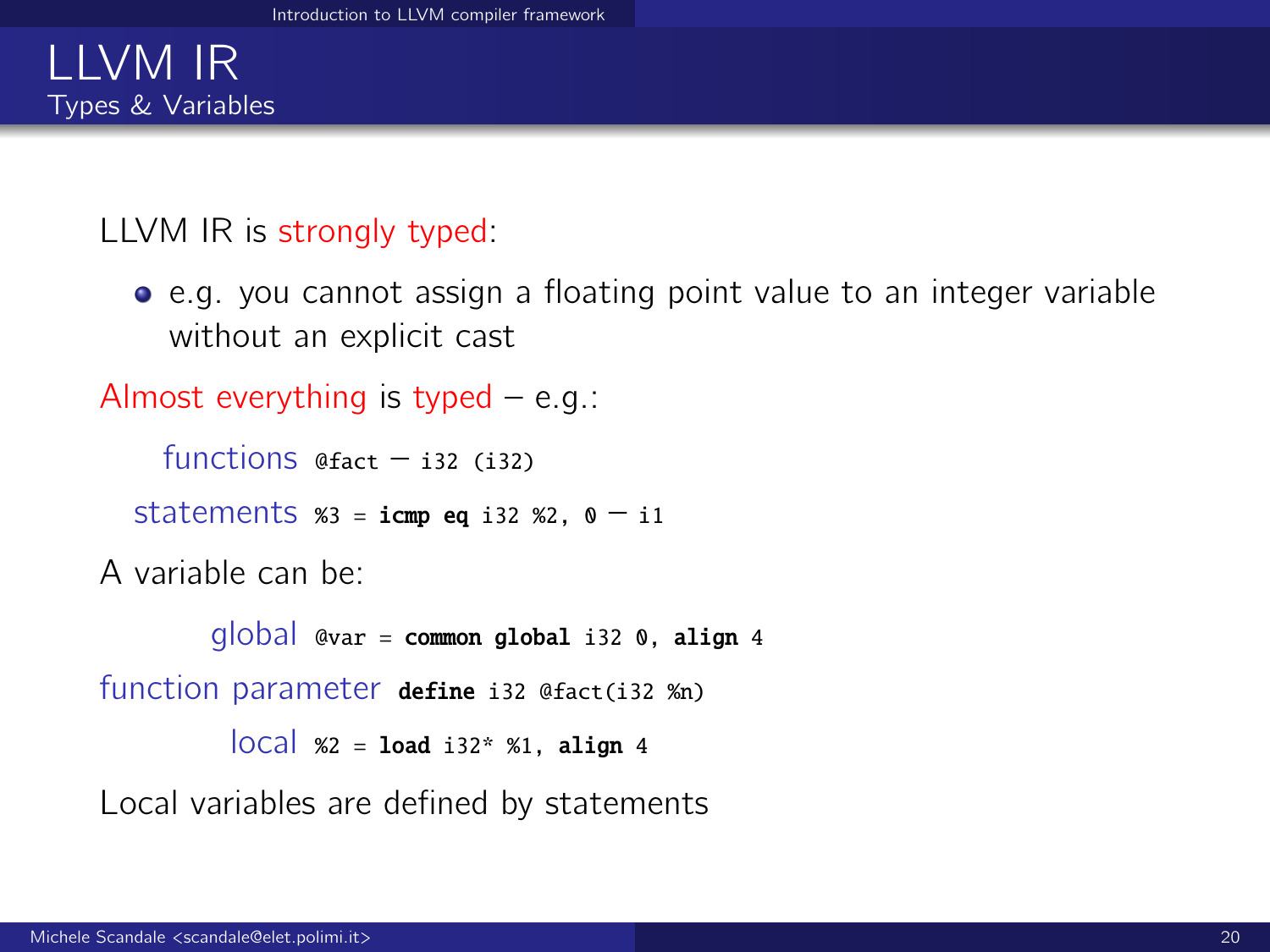### LLVM IR Types & Variables

#### LLVM IR is strongly typed:

e.g. you cannot assign a floating point value to an integer variable without an explicit cast

Almost everything is typed  $-$  e.g.:

functions  $@fact = i32$  (i32)

statements  $x_3 = i$ cmp eq i32  $x_2$ ,  $0 - i1$ 

A variable can be:

```
q|oba| @var = common global i32 0, align 4
function parameter define i32 @fact(i32 %n)
          \vertOCa\vert %2 = load i32* %1, align 4
```
Local variables are defined by statements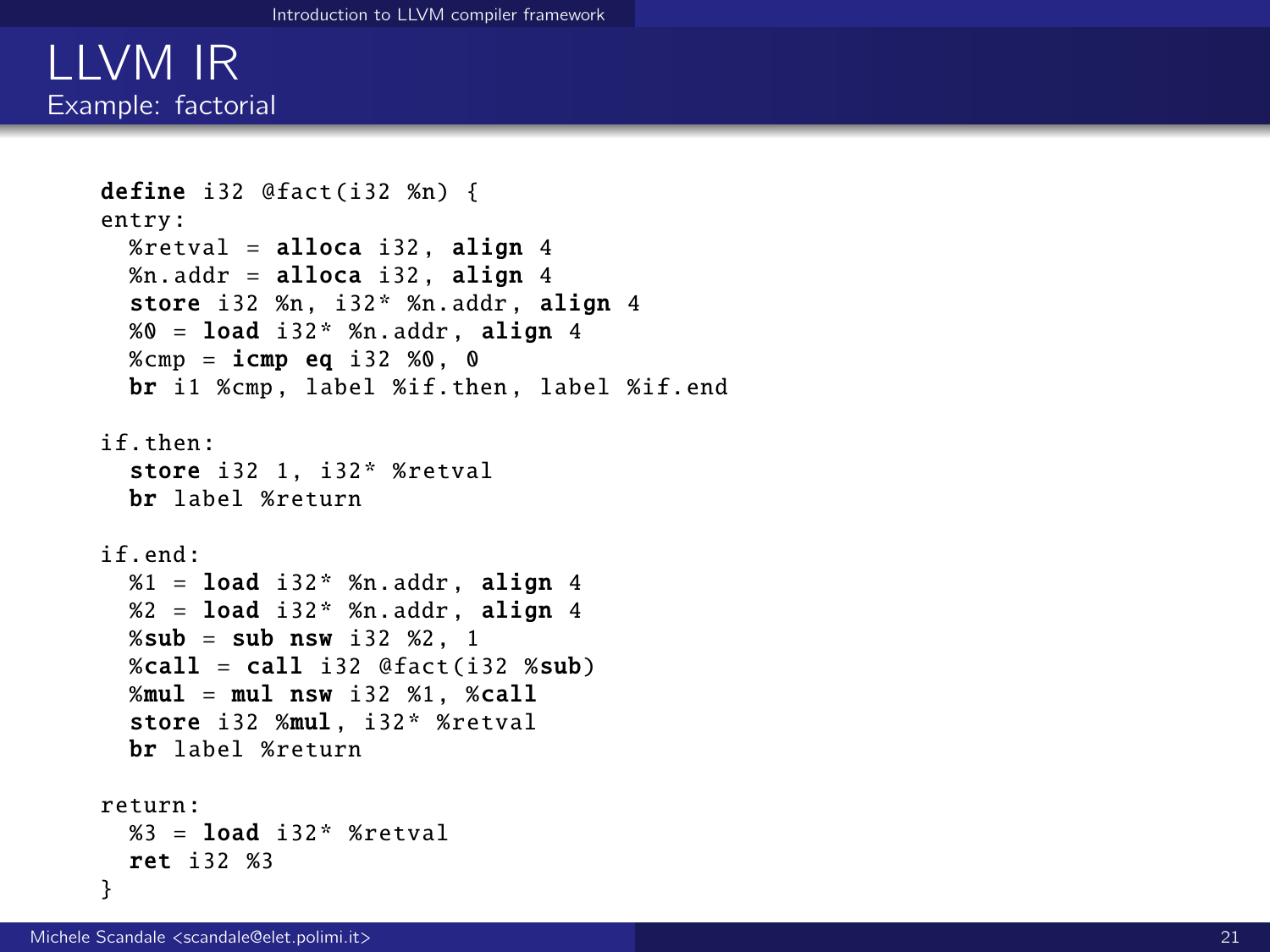### LLVM IR Example: factorial

```
define i32 @fact(i32 %n) {
entry:
  %retval = alloca i32, align 4
  %n.addr = alloca i32. allon 4store i32 %n, i32* %n.addr, align 4
  % 0 = load i32* % n. addr, align 4
  %cmp = icmp eq i32 %0. 0
  br i1 %cmp, label %if.then, label %if.end
if.then:
  store i32 1, i32* %retval
  br label %return
if end:
  %1 = load i32* %n.addr, align 4
  % 2 = load i32* %n.addr, align 4
  %sub = sub nsw i32 %2, 1
  %call = call i32 @fact(i32 %sub)%mul = mul nsw i32 %1, %call
  store i32 %mul, i32* %retval
  br label %return
return:
  %3 = load i32* %retval
  ret i32 %3
}
```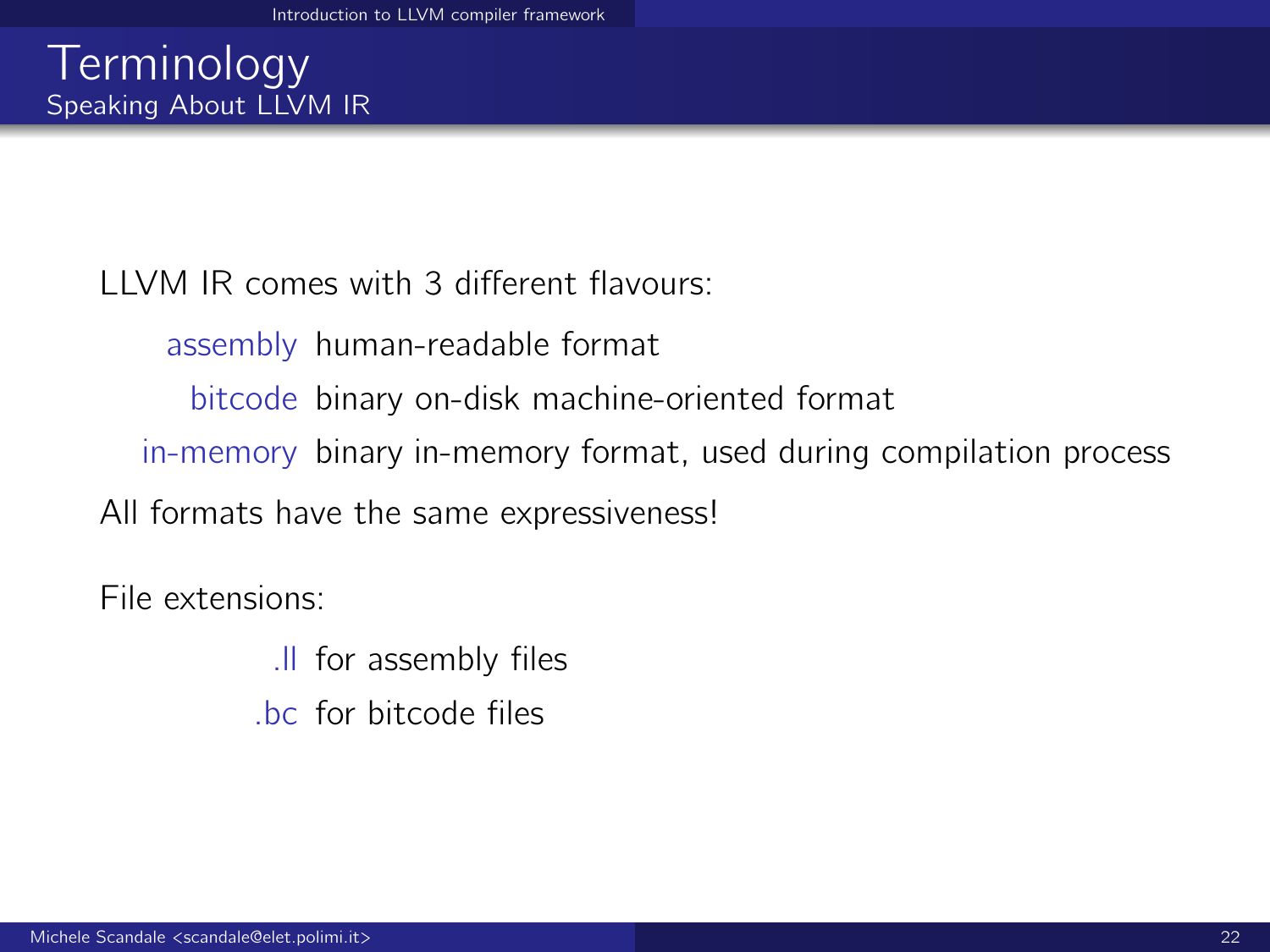LLVM IR comes with 3 different flavours:

assembly human-readable format

bitcode binary on-disk machine-oriented format

in-memory binary in-memory format, used during compilation process

All formats have the same expressiveness!

File extensions:

.ll for assembly files .bc for bitcode files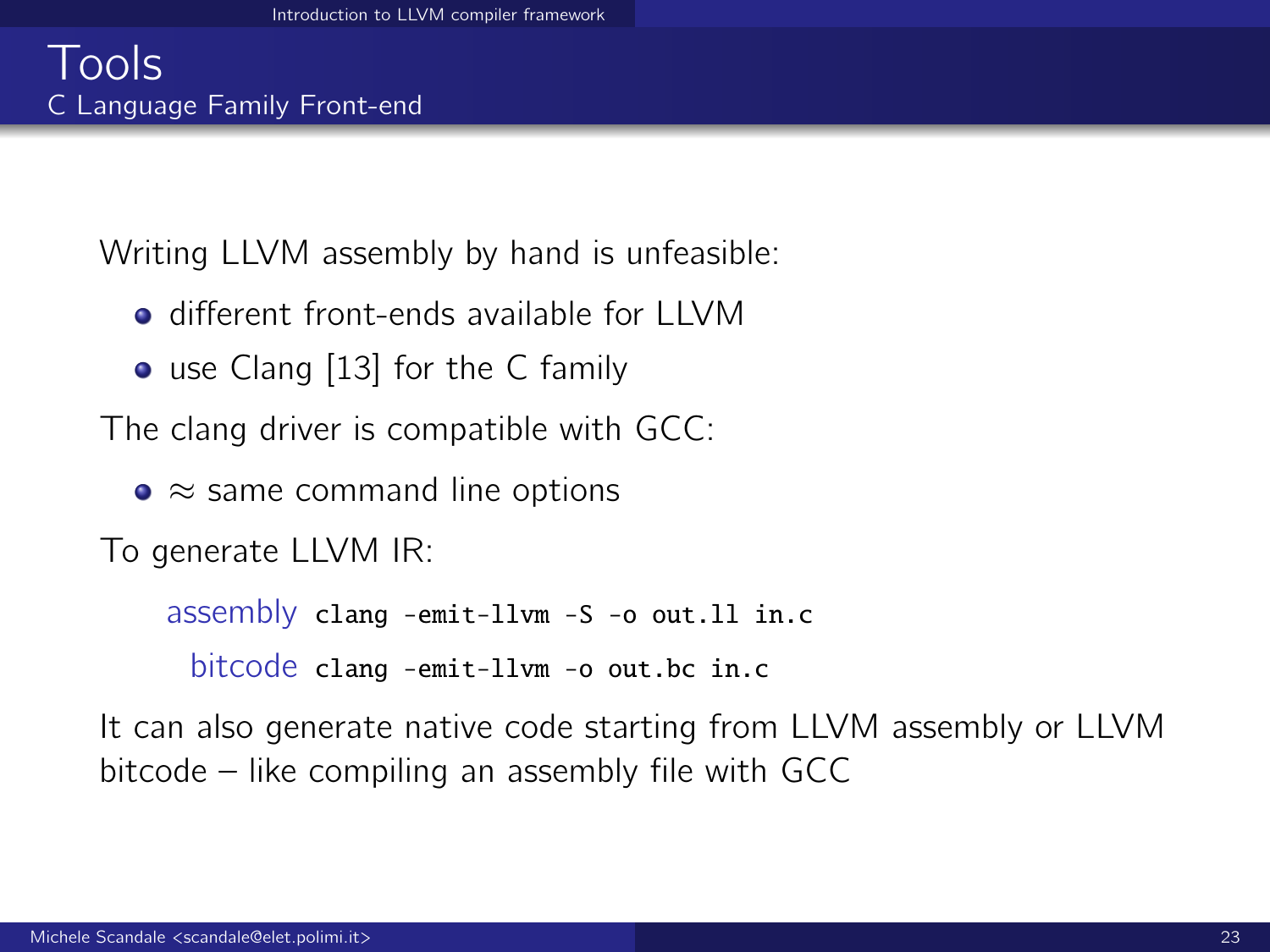Writing LLVM assembly by hand is unfeasible:

- o different front-ends available for LLVM
- use Clang [\[13\]](#page-42-2) for the C family

The clang driver is compatible with GCC:

•  $\approx$  same command line options

To generate LLVM IR:

assembly clang -emit-llvm -S -o out.ll in.c bitcode clang -emit-llvm -o out.bc in.c

It can also generate native code starting from LLVM assembly or LLVM bitcode – like compiling an assembly file with GCC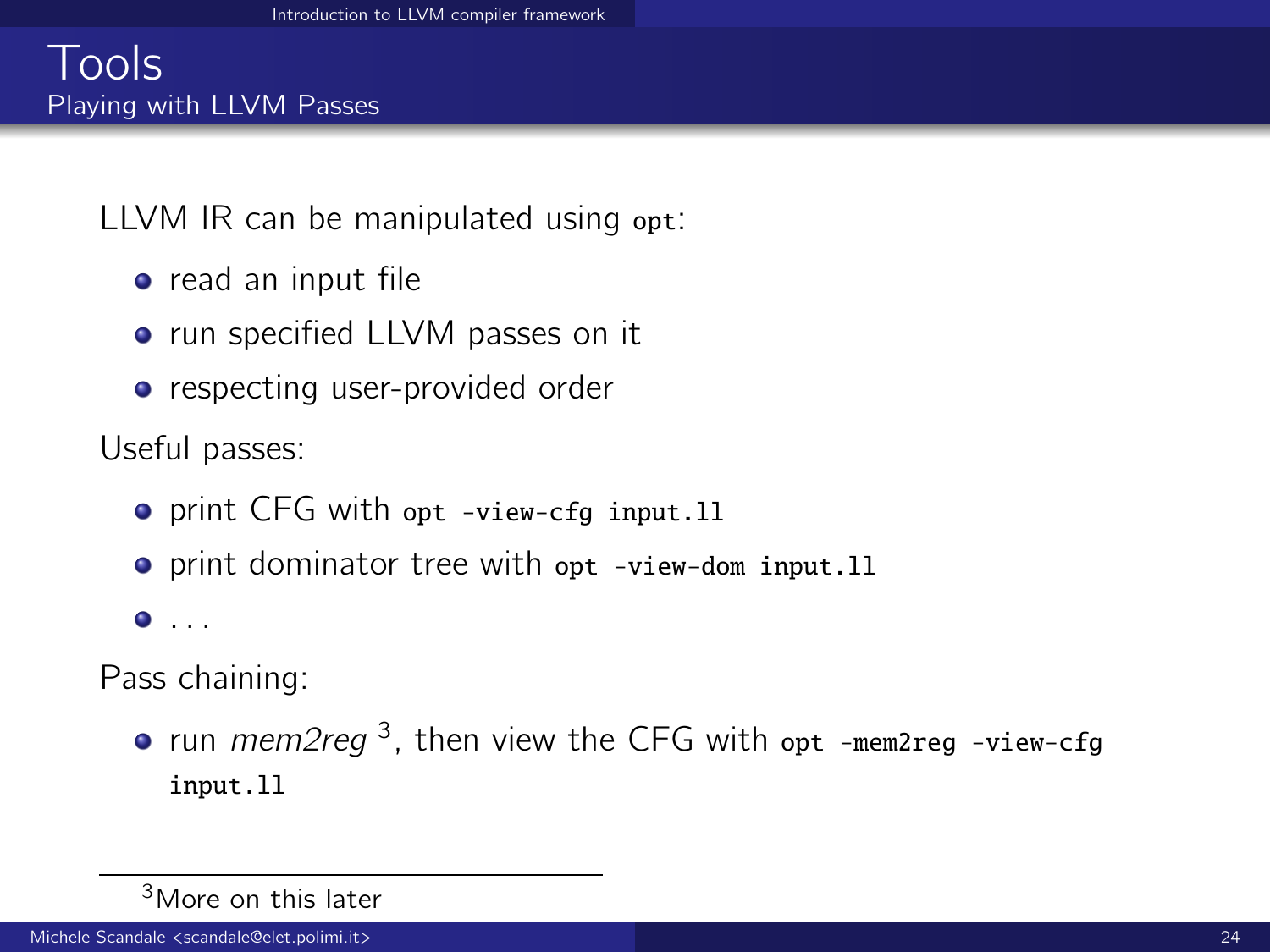### Tools Playing with LLVM Passes

LLVM IR can be manipulated using opt:

- $\bullet$  read an input file
- run specified LLVM passes on it
- respecting user-provided order

Useful passes:

- o print CFG with opt -view-cfg input.11
- **•** print dominator tree with opt -view-dom input.11

 $\bullet$  . . .

Pass chaining:

run mem2reg<sup>3</sup>, then view the CFG with opt -mem2reg -view-cfg input.ll

<sup>3</sup>More on this later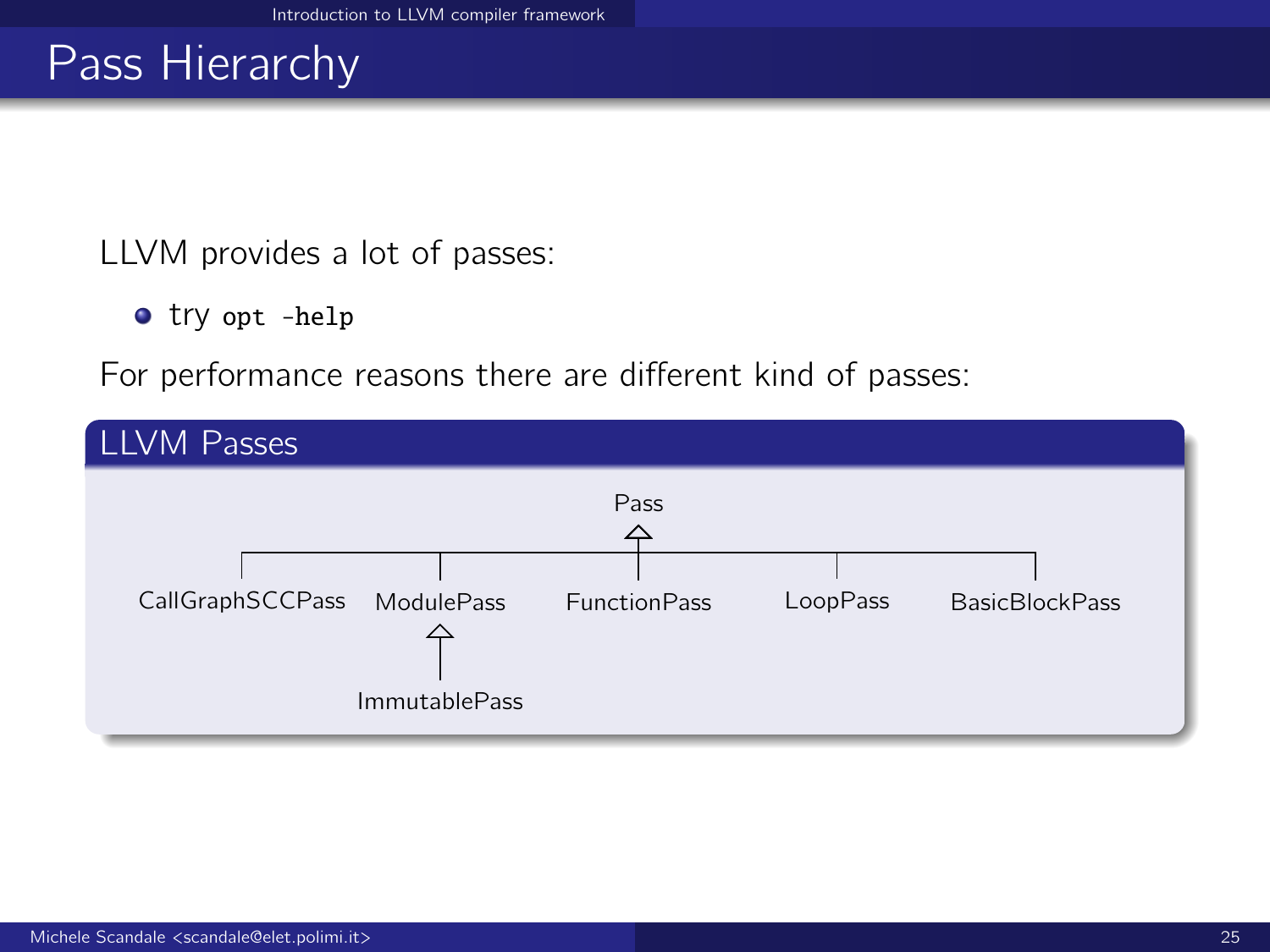## Pass Hierarchy

LLVM provides a lot of passes:

try opt -help

For performance reasons there are different kind of passes:

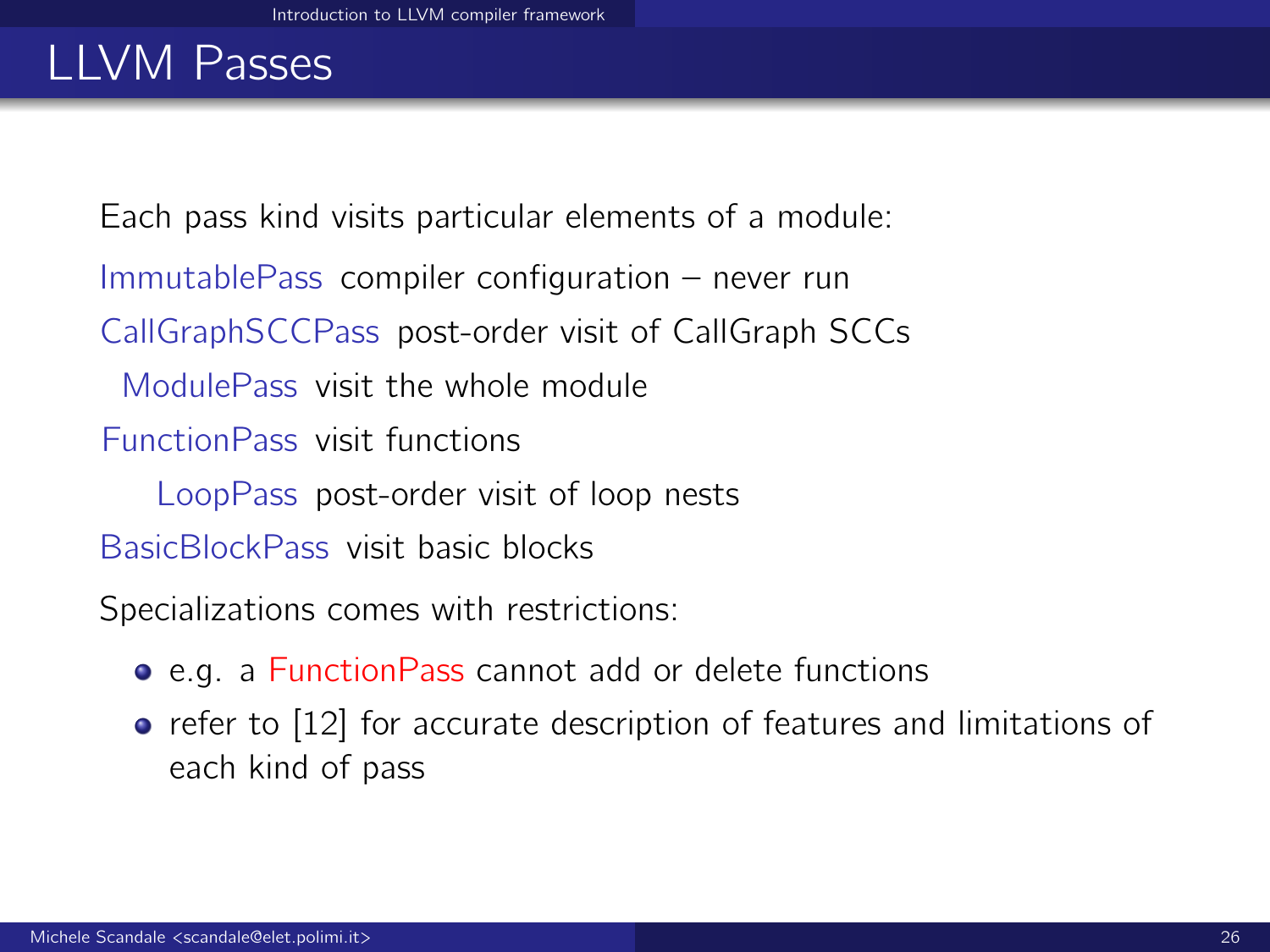## LLVM Passes

Each pass kind visits particular elements of a module:

ImmutablePass compiler configuration – never run

CallGraphSCCPass post-order visit of CallGraph SCCs

ModulePass visit the whole module

FunctionPass visit functions

LoopPass post-order visit of loop nests

BasicBlockPass visit basic blocks

Specializations comes with restrictions:

- e.g. a FunctionPass cannot add or delete functions
- **•** refer to [\[12\]](#page-41-3) for accurate description of features and limitations of each kind of pass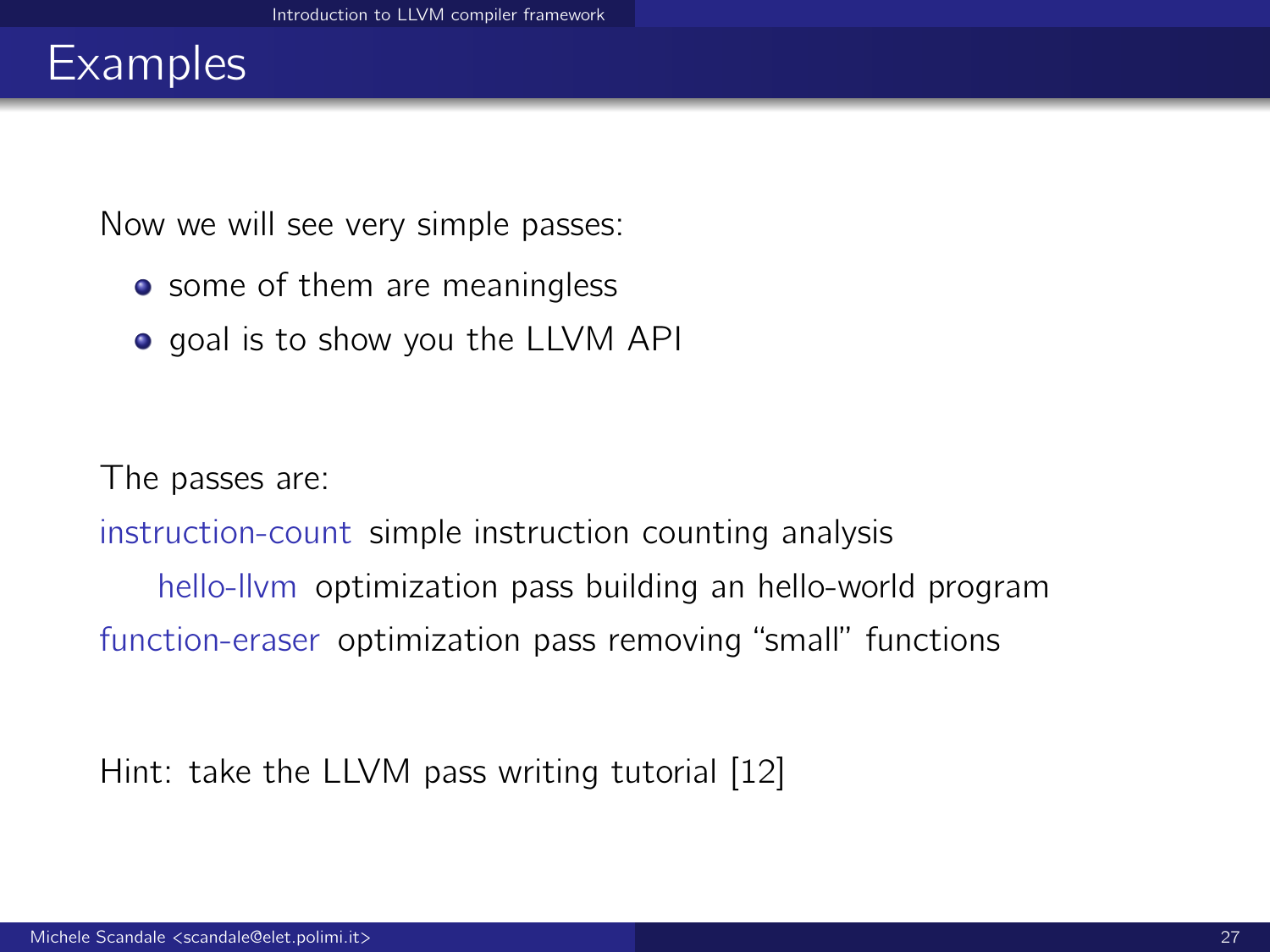## **Examples**

Now we will see very simple passes:

- some of them are meaningless
- goal is to show you the LLVM API

The passes are:

instruction-count simple instruction counting analysis

hello-llvm optimization pass building an hello-world program function-eraser optimization pass removing "small" functions

Hint: take the LLVM pass writing tutorial [\[12\]](#page-41-3)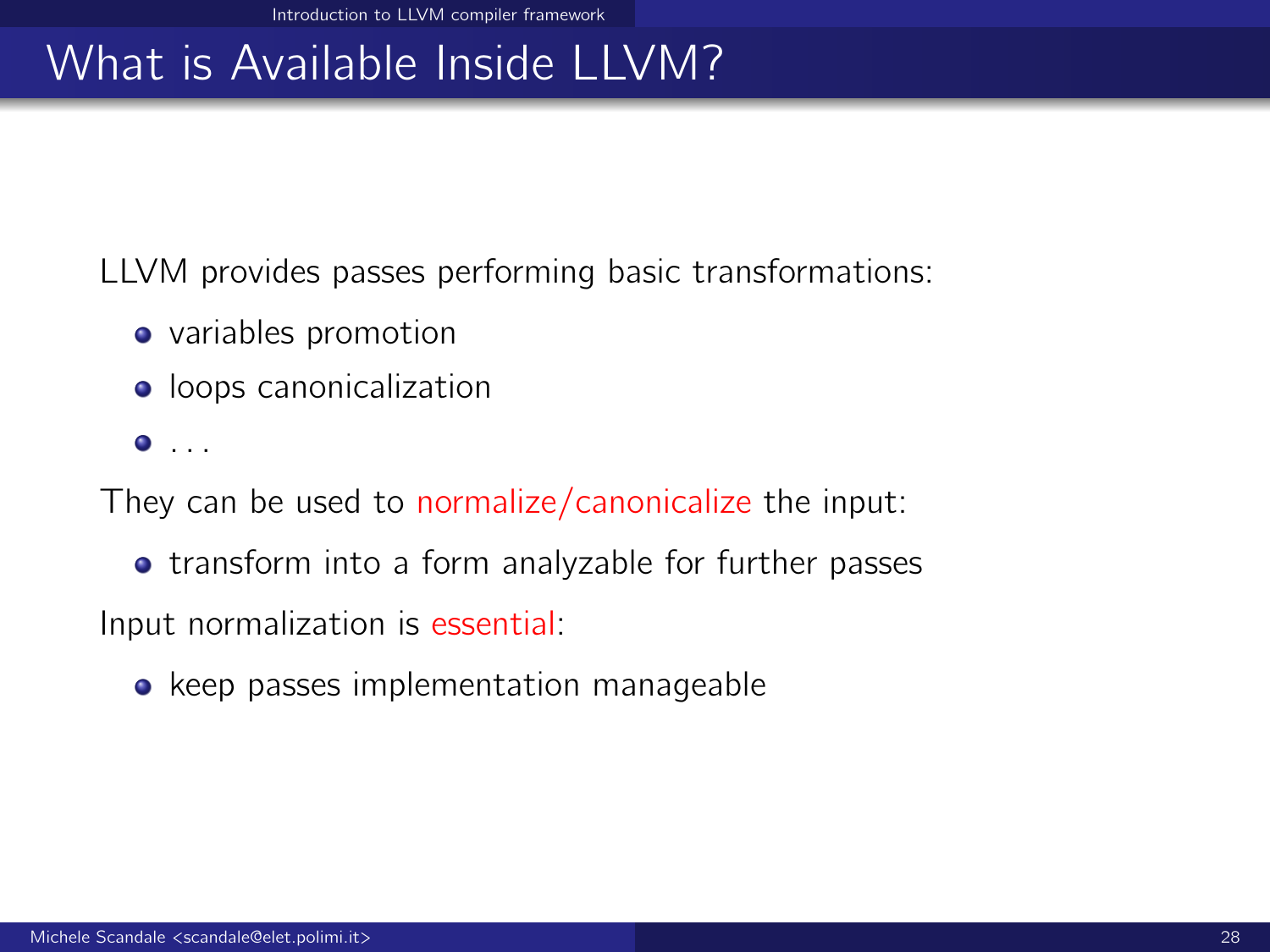# What is Available Inside LLVM?

LLVM provides passes performing basic transformations:

- variables promotion
- **•** loops canonicalization
- . . .

They can be used to normalize/canonicalize the input:

**•** transform into a form analyzable for further passes

Input normalization is essential:

• keep passes implementation manageable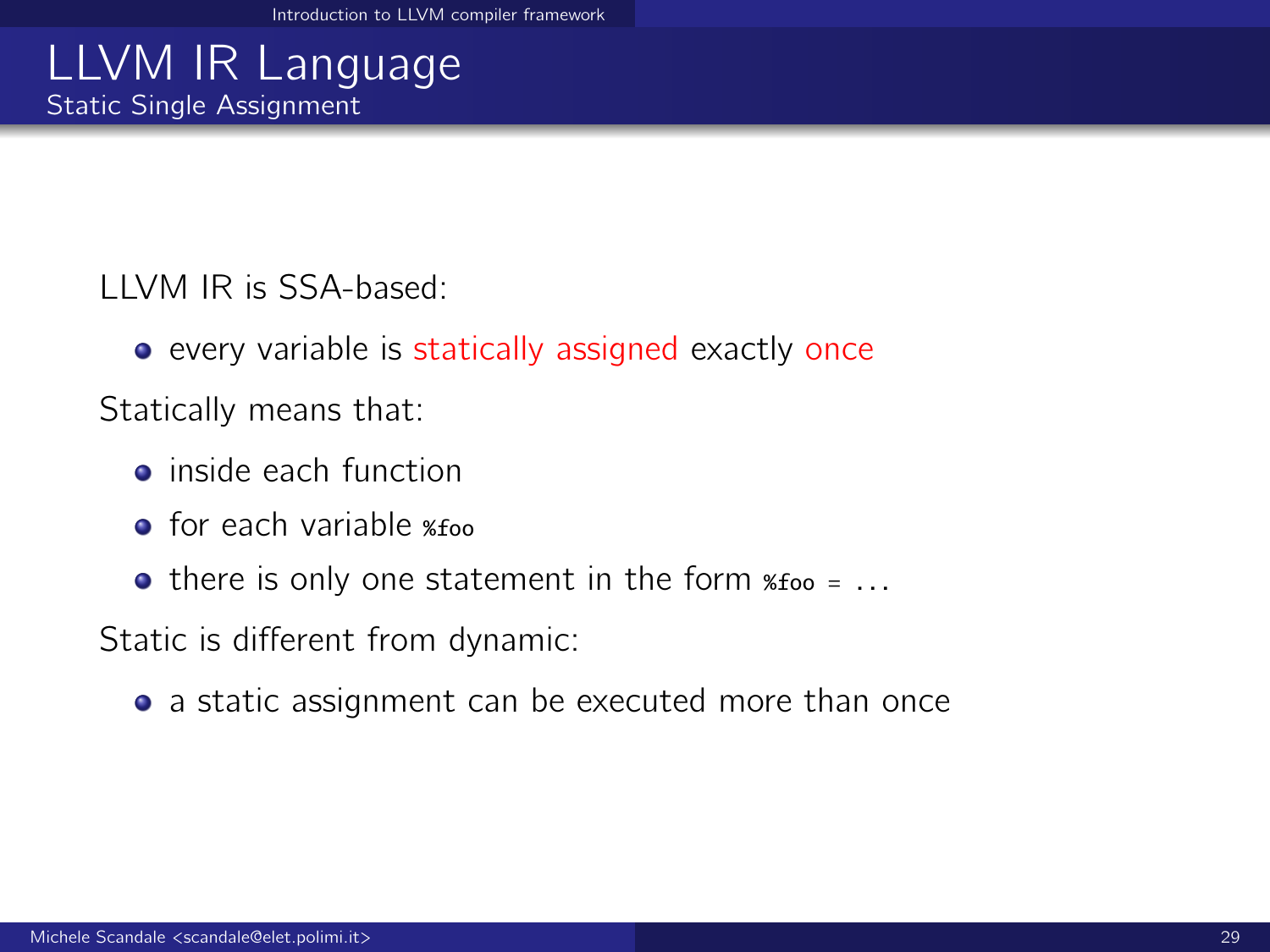## LLVM IR Language Static Single Assignment

LLVM IR is SSA-based:

**•** every variable is statically assigned exactly once

Statically means that:

- **•** inside each function
- $\bullet$  for each variable  $\ast$ foo
- $\bullet$  there is only one statement in the form  $\ast$  foo = ...

Static is different from dynamic:

• a static assignment can be executed more than once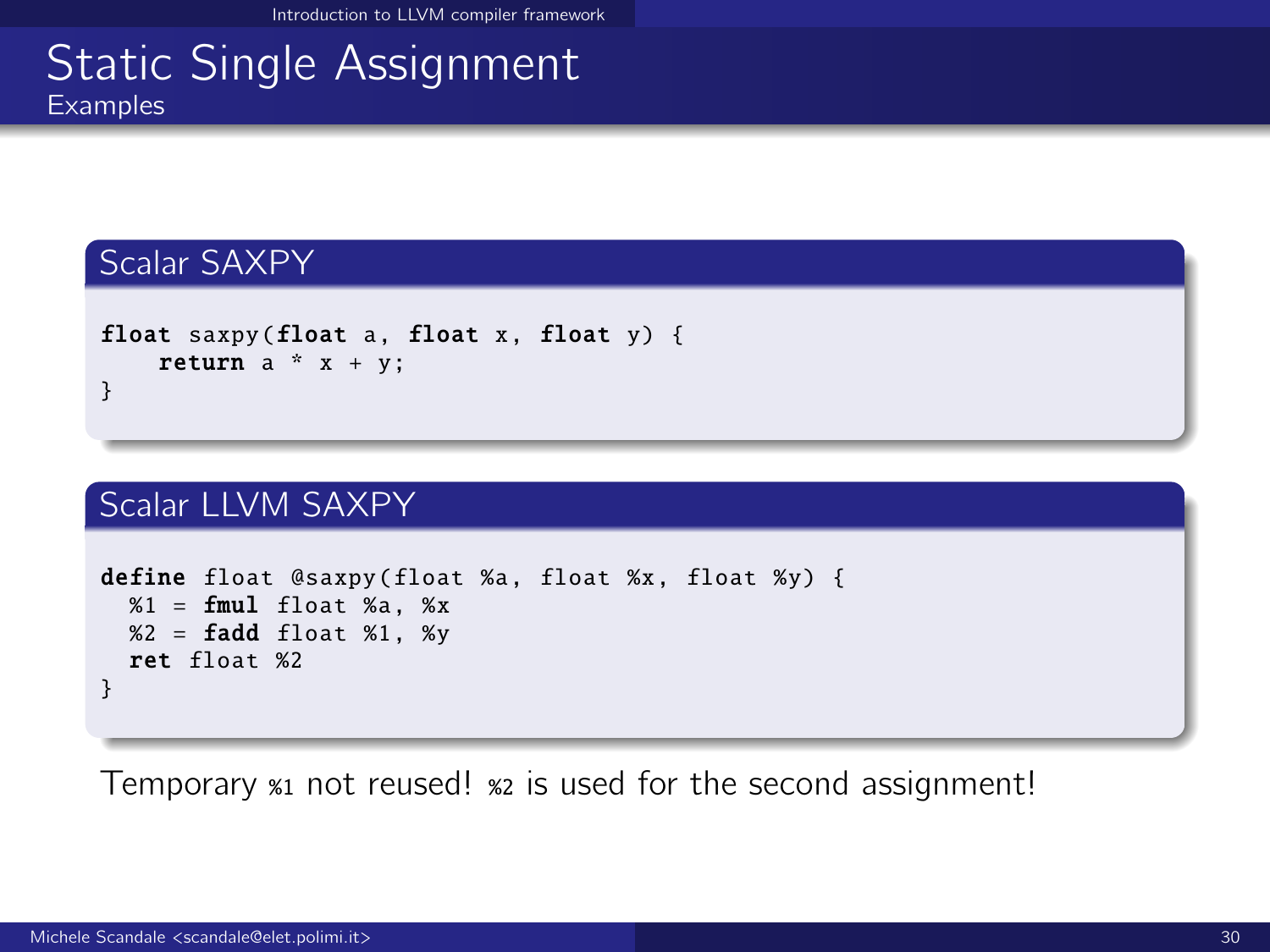### **Static Single Assignment** Examples

#### Scalar SAXPY

```
float saxpy(float a, float x, float y) {
   return a * x + y;
}
```
#### Scalar LLVM SAXPY

```
define float @saxpy(float %a, float %x, float %y) {
  %1 = \text{fmul} float %3x, %x%2 = \text{fadd float } %1, %ret float %2
}
```
Temporary %1 not reused! %2 is used for the second assignment!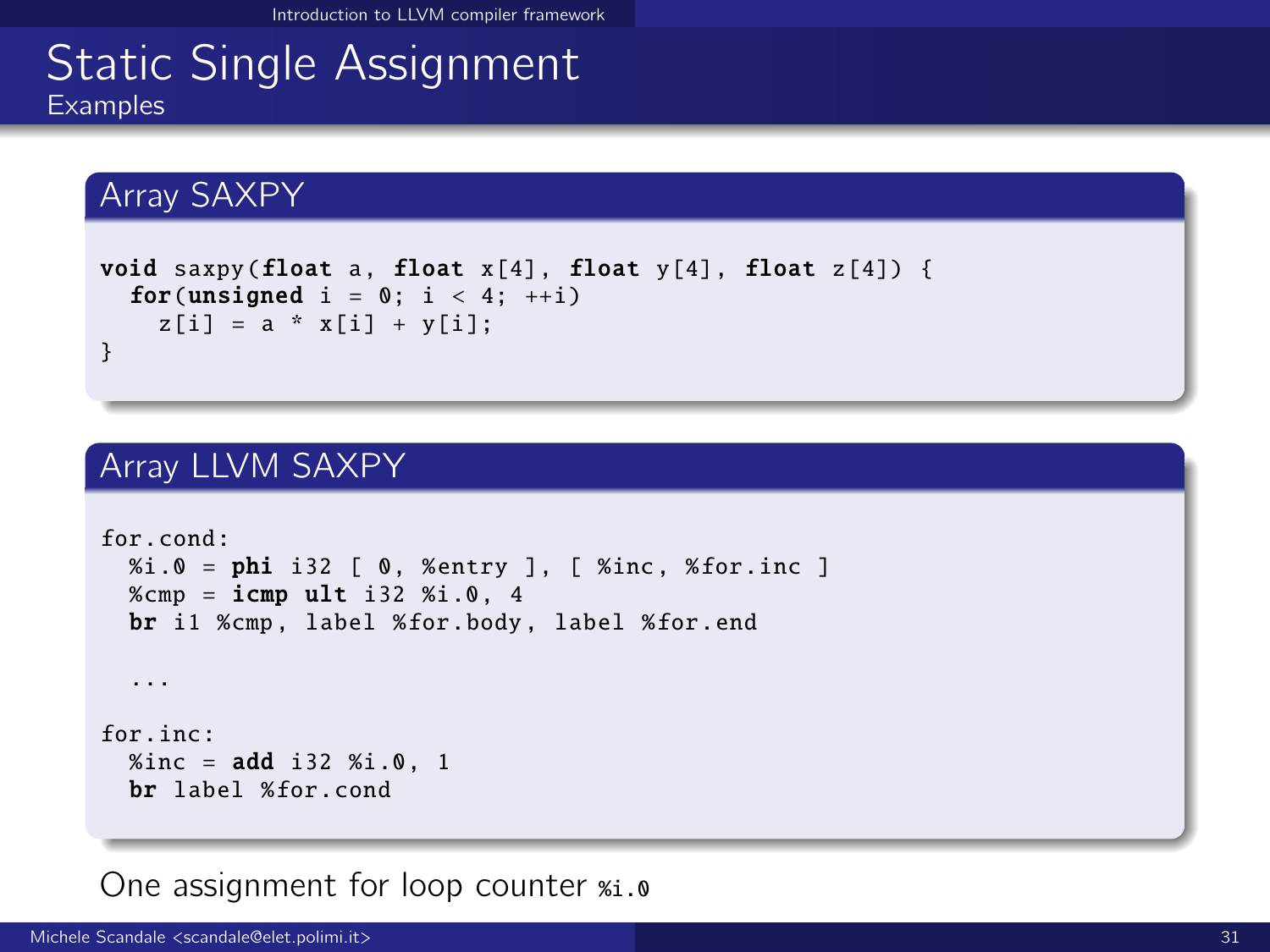### Static Single Assignment Examples

#### Array SAXPY

```
void saxpy(float a, float x[4], float y[4], float z[4]) {
 for(unsigned i = 0; i < 4; +i)
   z[i] = a * x[i] + y[i];}
```
#### Array LLVM SAXPY

```
for cond:
 % i.0 = phi i32 [ 0, % entry ], [ % inc. % for. inc ]%cmp = icmp ult i32 %i.0, 4
 br i1 %cmp , label %for.body , label %for.end
  ...
for.inc:
 % inc = add i32 % i.0, 1
 br label %for.cond
```
One assignment for loop counter  $x_i \cdot$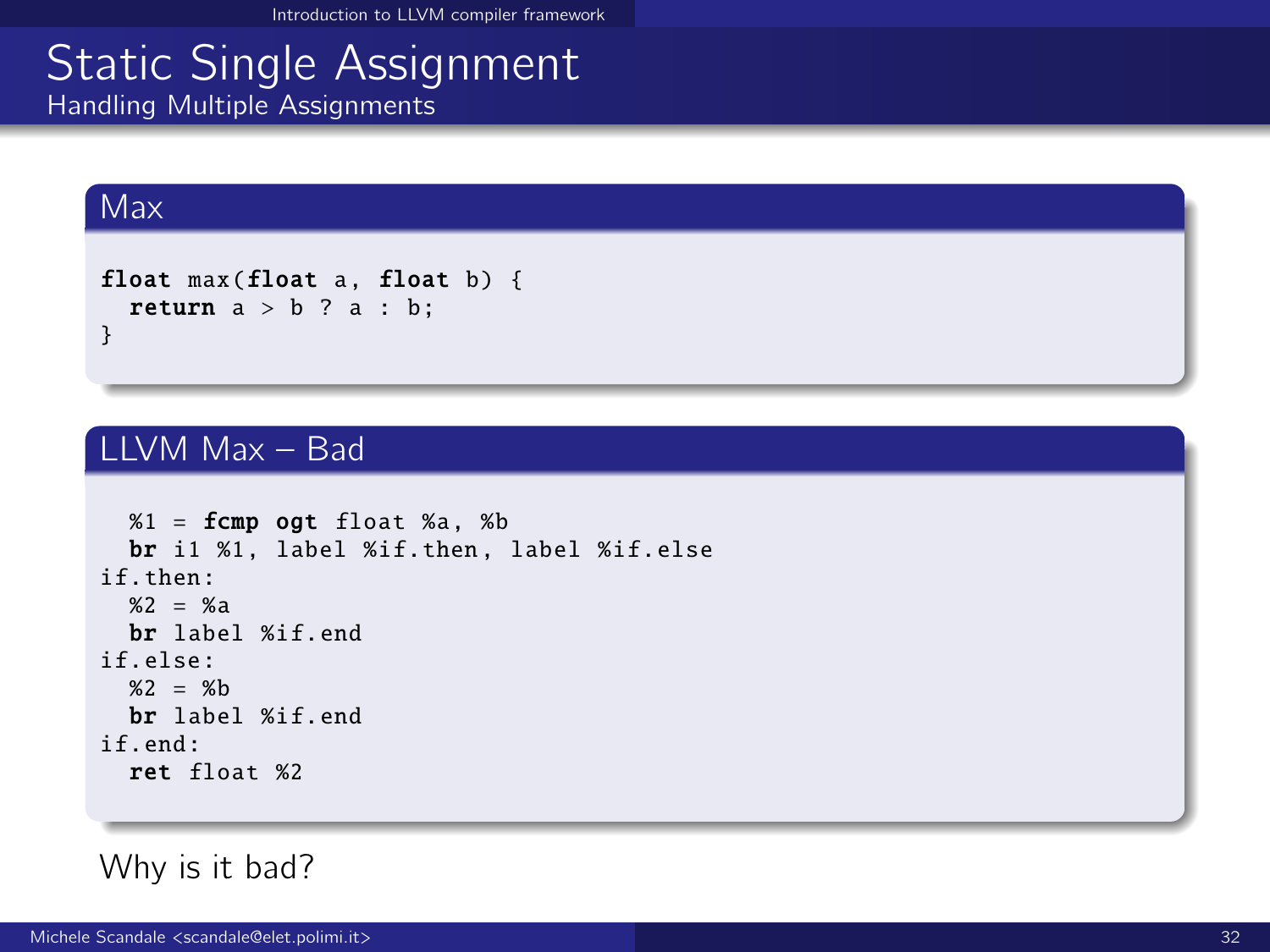# Static Single Assignment

Handling Multiple Assignments

#### Max

```
float max(float a, float b) {
 return a > b ? a : b:
}
```
#### LLVM Max – Bad

```
%1 = fcmp ogt float %a, %bbr i1 %1, label %if.then , label %if.else
if.then:
  %2 = %abr label %if.end
if.else:
  %2 = %bbr label %if.end
if.end:
  ret float %2
```
#### Why is it bad?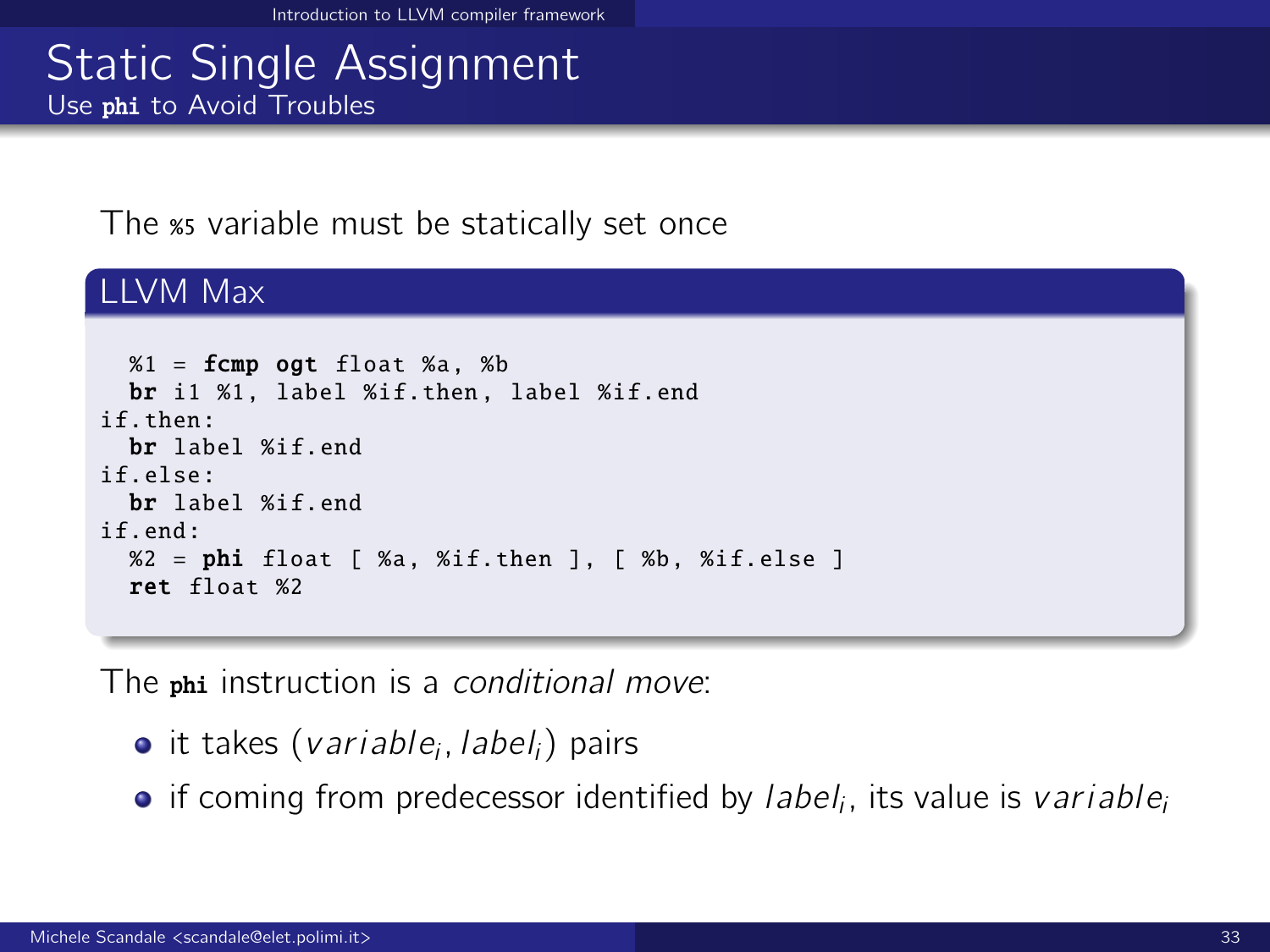#### Static Single Assignment Use phi to Avoid Troubles

#### The *\*s* variable must be statically set once

#### LLVM Max

```
%1 = fcmp ogt float %3, %bbr i1 %1, label %if.then , label %if.end
if.then:
  br label %if.end
if.else:
  br label %if.end
if end:
  %2 = phi float [ %a, %if.then ], [ %b, %if.else ]ret float %2
```
The phi instruction is a conditional move:

- it takes (*variable<sub>i</sub>, label<sub>i</sub>*) pairs
- if coming from predecessor identified by *label<sub>i</sub>*, its value is *variable*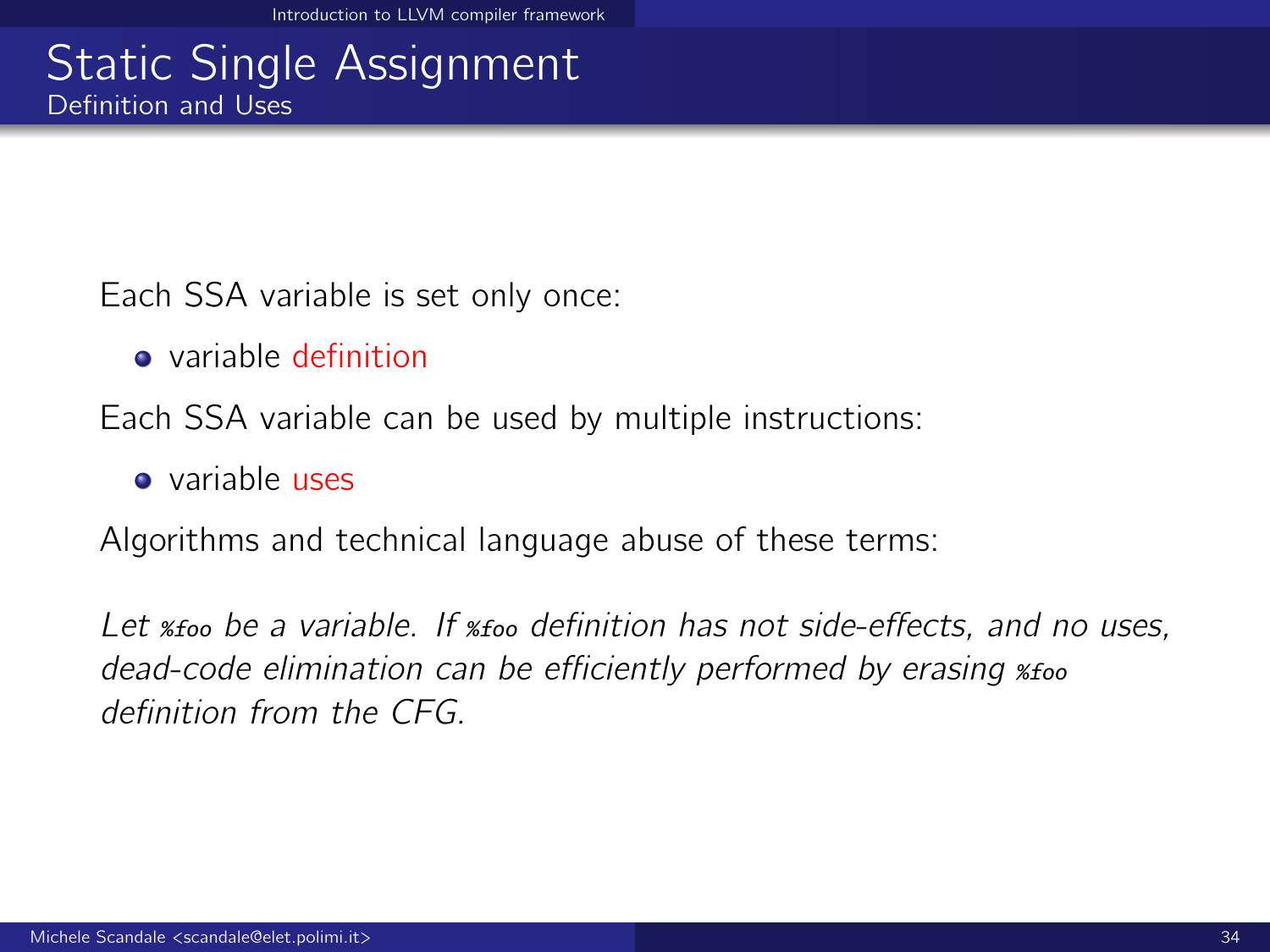### **Static Single Assignment** Definition and Uses

Each SSA variable is set only once:

**a** variable definition

Each SSA variable can be used by multiple instructions:

**•** variable uses

Algorithms and technical language abuse of these terms:

Let <sub>\*foo</sub> be a variable. If <sub>\*foo</sub> definition has not side-effects, and no uses, dead-code elimination can be efficiently performed by erasing %foo definition from the CFG.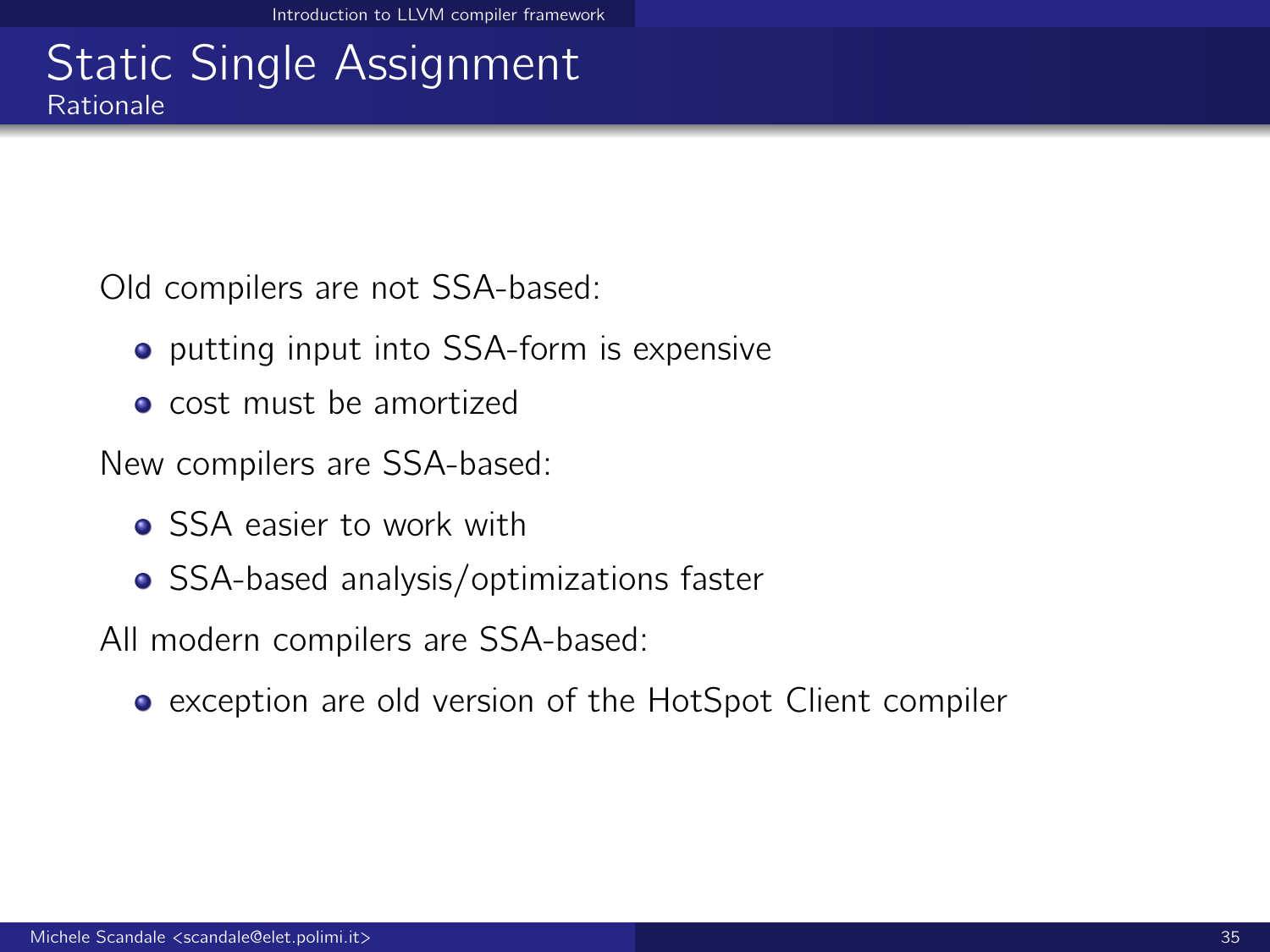### Static Single Assignment Rationale

Old compilers are not SSA-based:

- **•** putting input into SSA-form is expensive
- **o** cost must be amortized

New compilers are SSA-based:

- **Q** SSA easier to work with
- SSA-based analysis/optimizations faster

All modern compilers are SSA-based:

exception are old version of the HotSpot Client compiler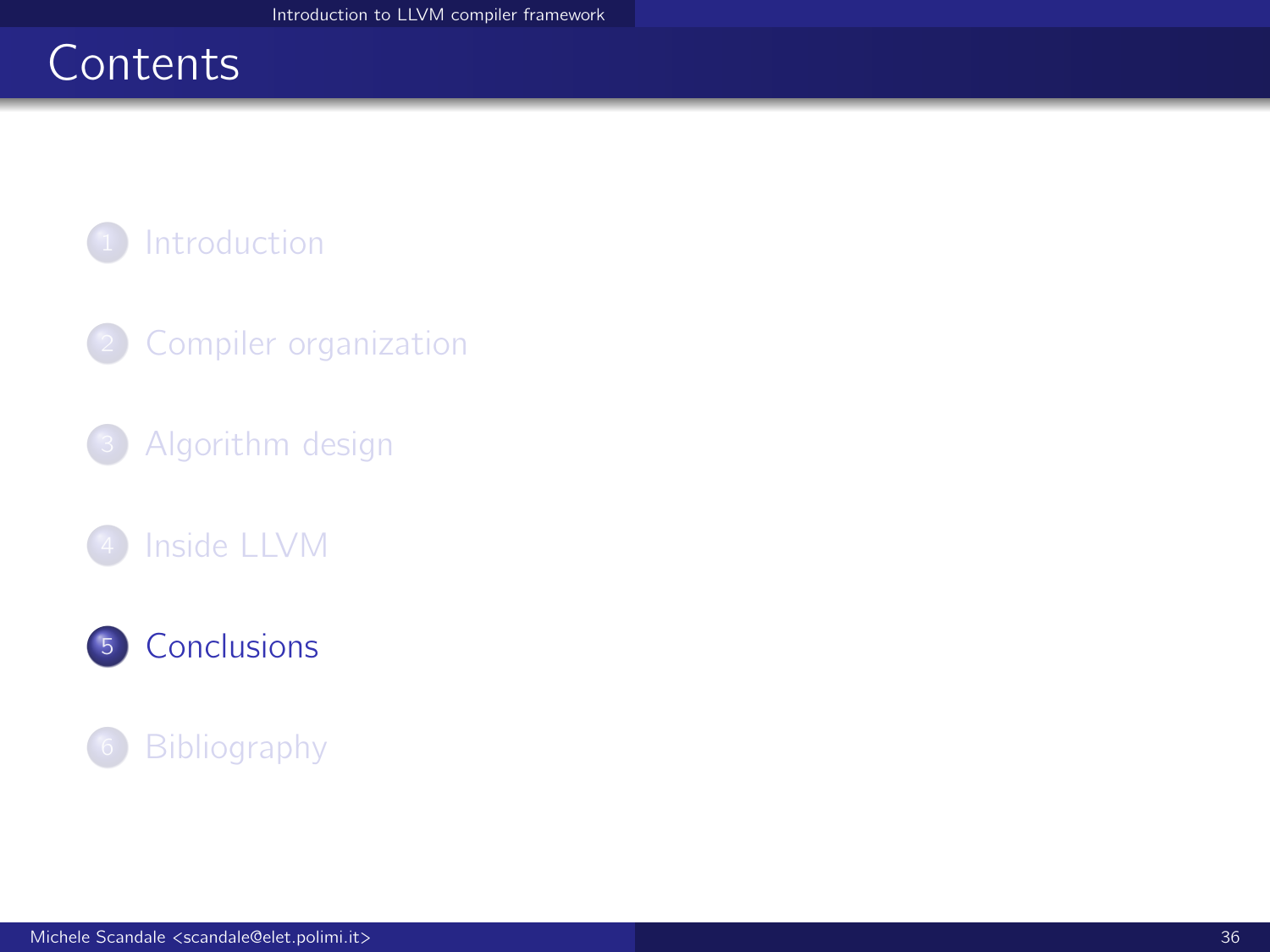# <span id="page-35-0"></span>**Contents**



- <sup>2</sup> [Compiler organization](#page-4-0)
- <sup>3</sup> [Algorithm design](#page-9-0)
- [Inside LLVM](#page-17-0)



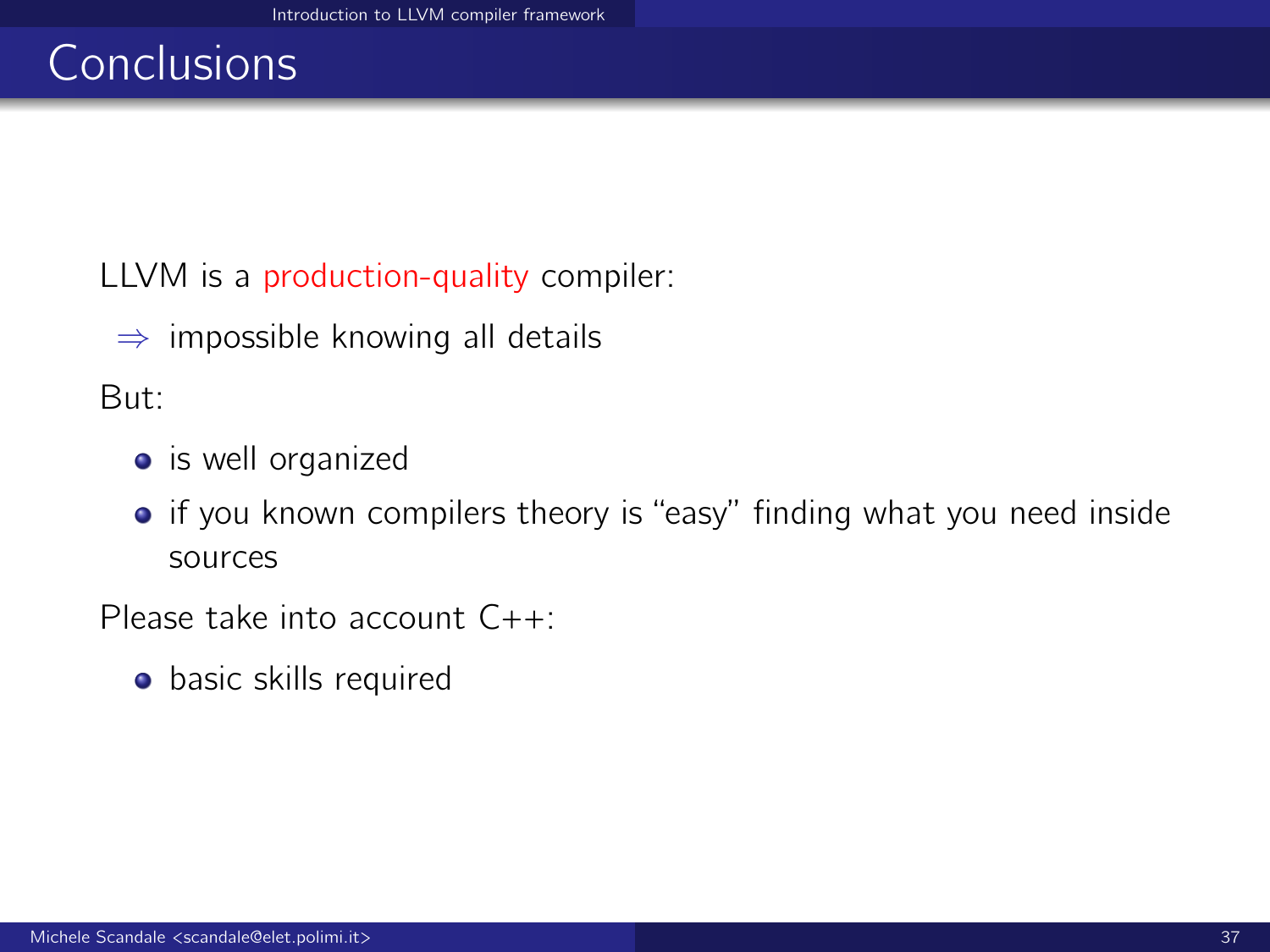# **Conclusions**

LLVM is a production-quality compiler:

 $\Rightarrow$  impossible knowing all details

But:

- is well organized
- if you known compilers theory is "easy" finding what you need inside sources

Please take into account C++:

**o** basic skills required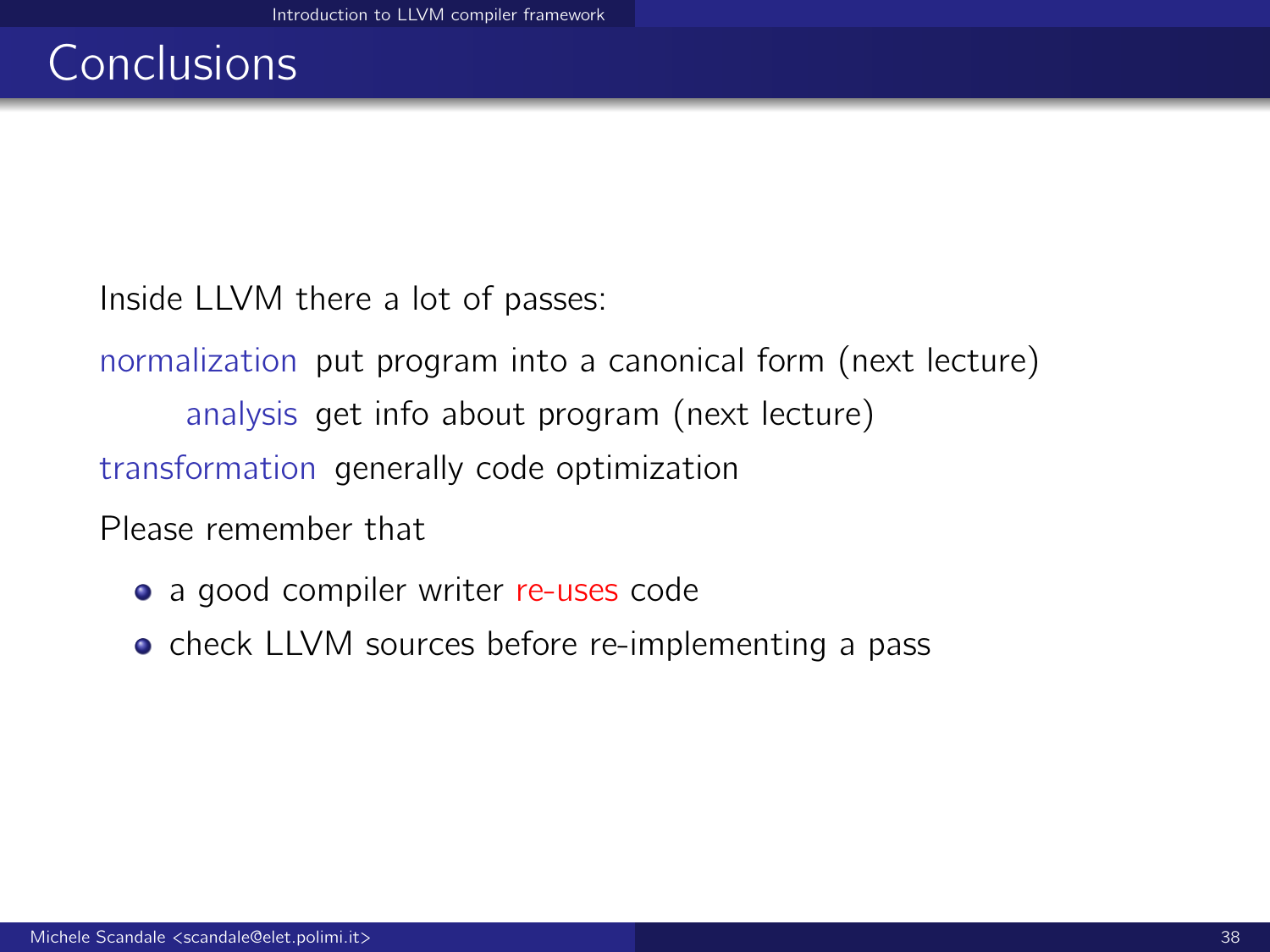# Conclusions

Inside LLVM there a lot of passes:

normalization put program into a canonical form (next lecture) analysis get info about program (next lecture) transformation generally code optimization

Please remember that

- a good compiler writer re-uses code
- **o** check LLVM sources before re-implementing a pass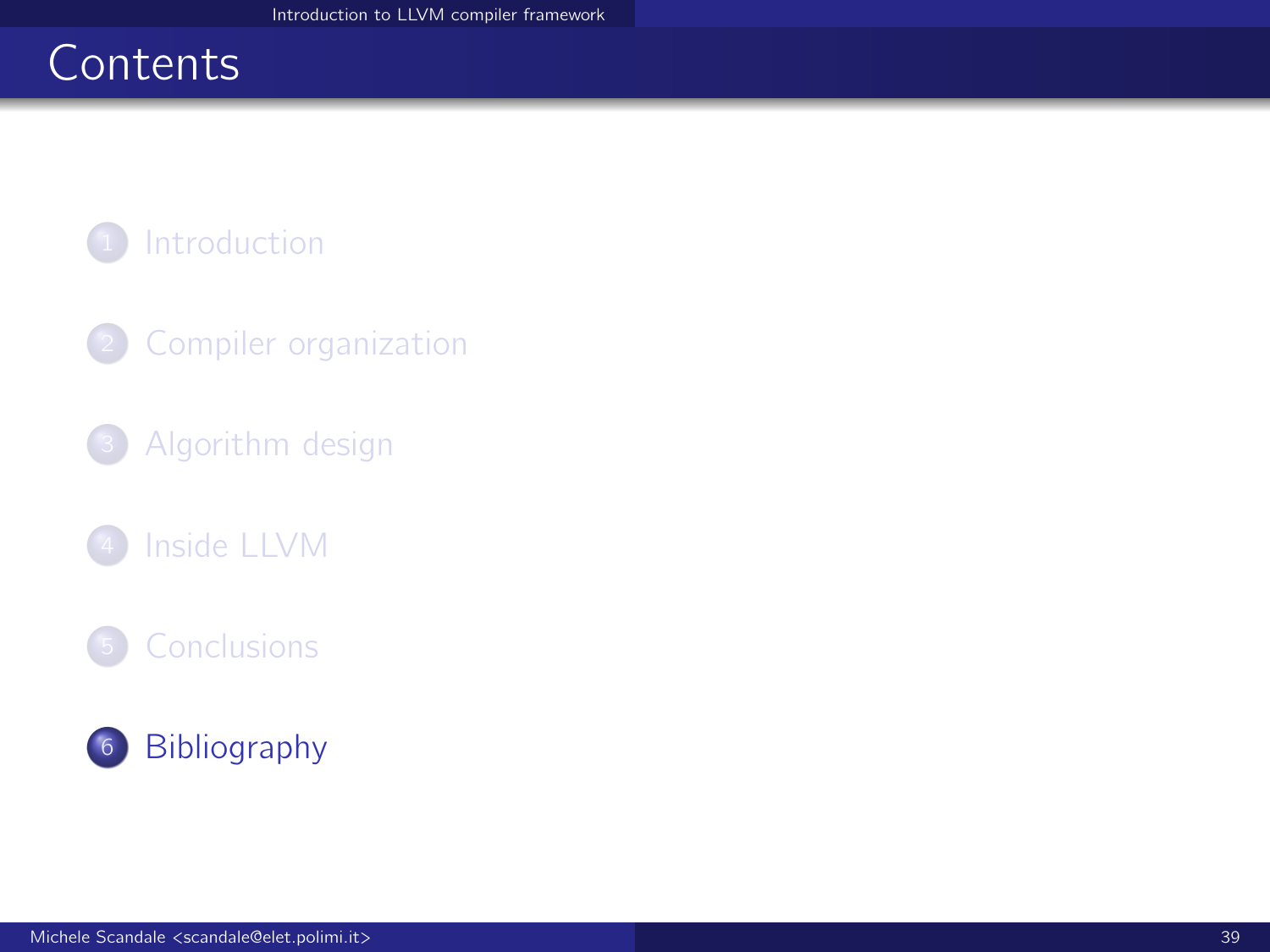# <span id="page-38-0"></span>**Contents**

<sup>1</sup> [Introduction](#page-1-0)

<sup>2</sup> [Compiler organization](#page-4-0)

<sup>3</sup> [Algorithm design](#page-9-0)

[Inside LLVM](#page-17-0)

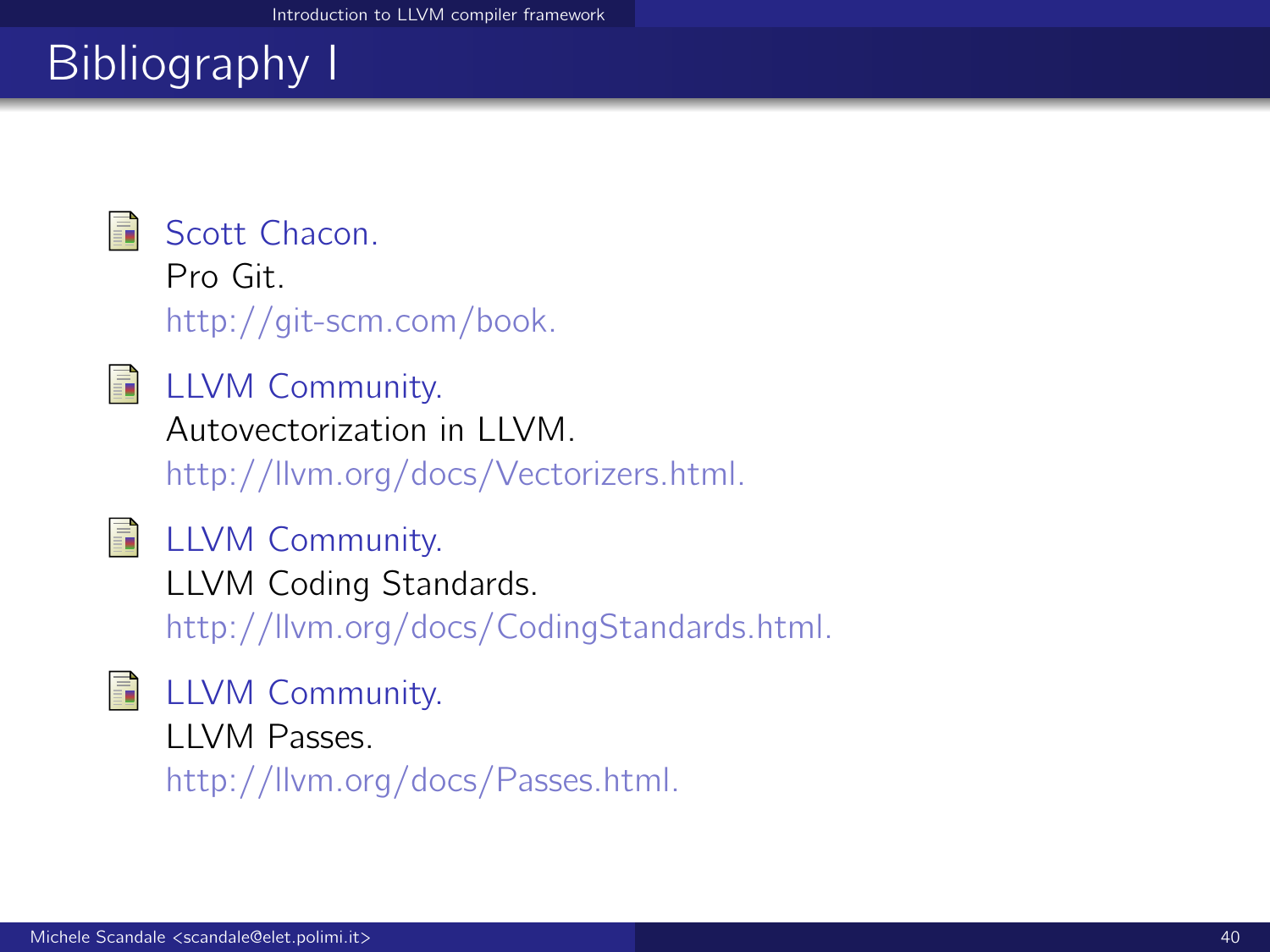# Bibliography I



Scott Chacon.

Pro Git. http://git-scm.com/book.

**E** LLVM Community. Autovectorization in LLVM.

http://llvm.org/docs/Vectorizers.html.



**■ LLVM Community.** LLVM Coding Standards. http://llvm.org/docs/CodingStandards.html.

**E** LLVM Community.

LLVM Passes.

http://llvm.org/docs/Passes.html.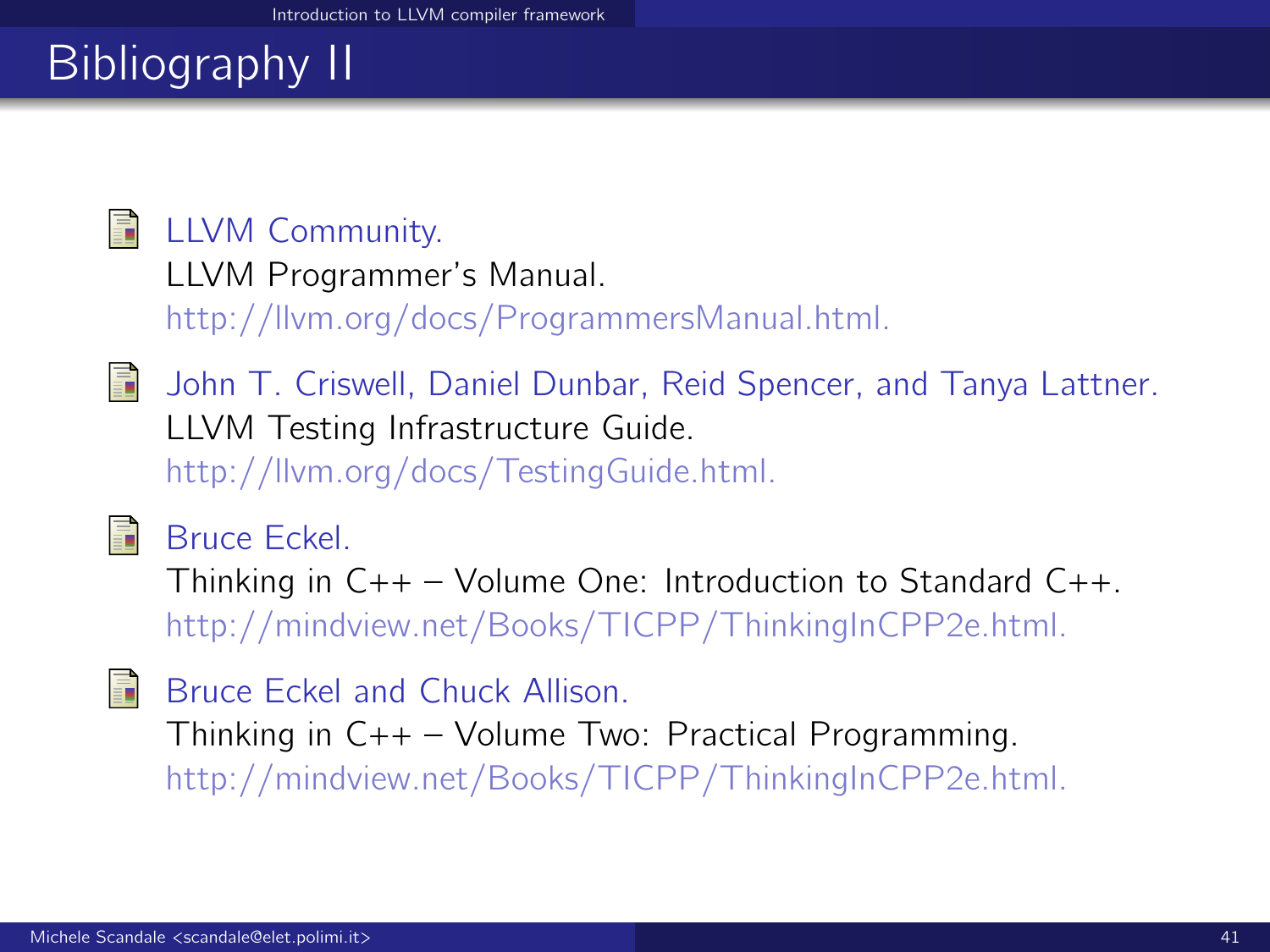# Bibliography II

## **■ LLVM Community.**

LLVM Programmer's Manual.

http://llvm.org/docs/ProgrammersManual.html.



John T. Criswell, Daniel Dunbar, Reid Spencer, and Tanya Lattner. LLVM Testing Infrastructure Guide. http://llvm.org/docs/TestingGuide.html.



Bruce Eckel.

Thinking in  $C_{++}$  – Volume One: Introduction to Standard  $C_{++}$ . http://mindview.net/Books/TICPP/ThinkingInCPP2e.html.

晶 Bruce Eckel and Chuck Allison. Thinking in C++ – Volume Two: Practical Programming. http://mindview.net/Books/TICPP/ThinkingInCPP2e.html.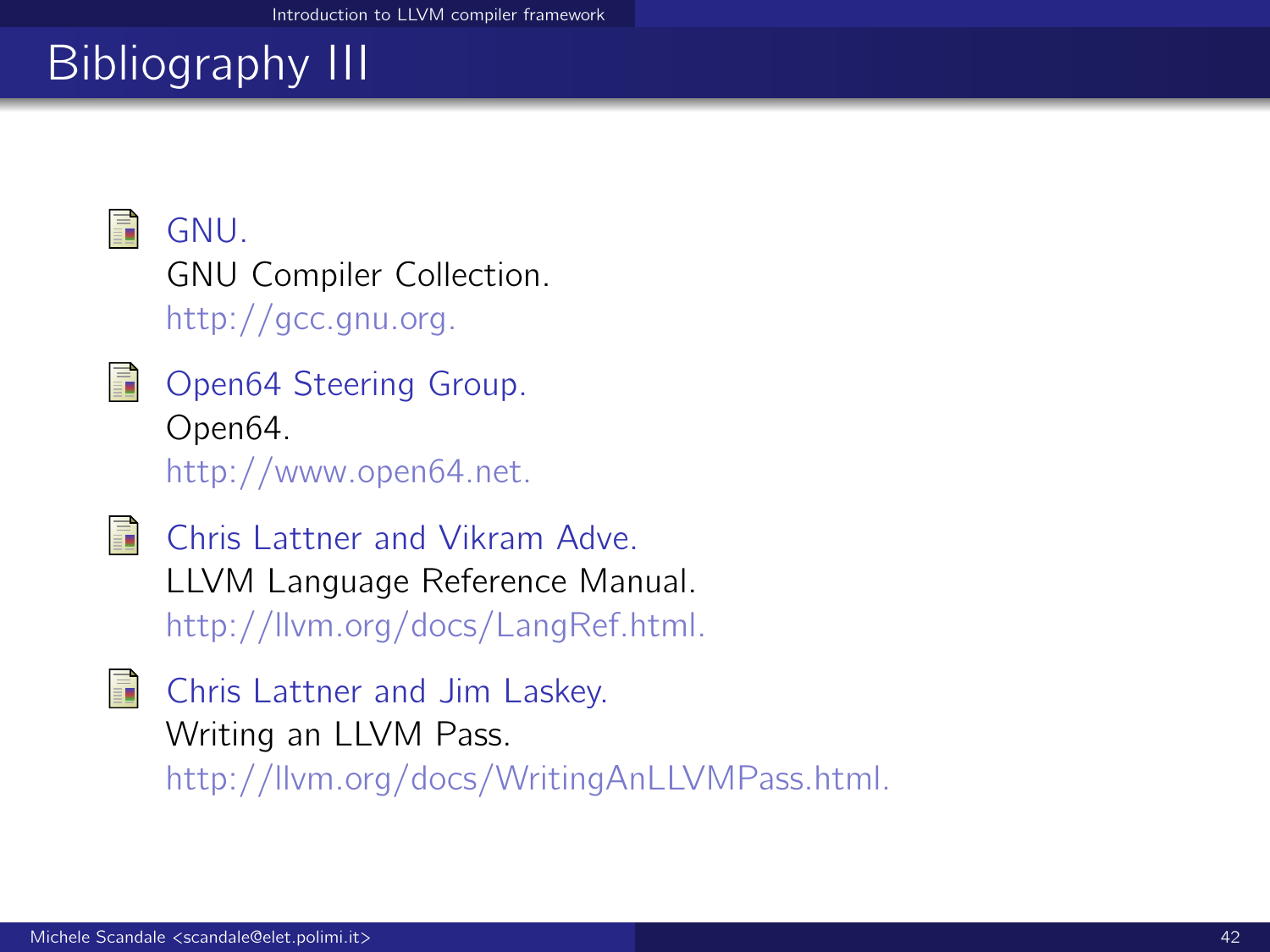# Bibliography III

<span id="page-41-1"></span>

GNU. GNU Compiler Collection. http://gcc.gnu.org.

<span id="page-41-0"></span>

Open64 Steering Group. Open64. http://www.open64.net.

<span id="page-41-2"></span>

Chris Lattner and Vikram Adve. LLVM Language Reference Manual. http://llvm.org/docs/LangRef.html.

<span id="page-41-3"></span>

Chris Lattner and Jim Laskey. Writing an LLVM Pass. http://llvm.org/docs/WritingAnLLVMPass.html.